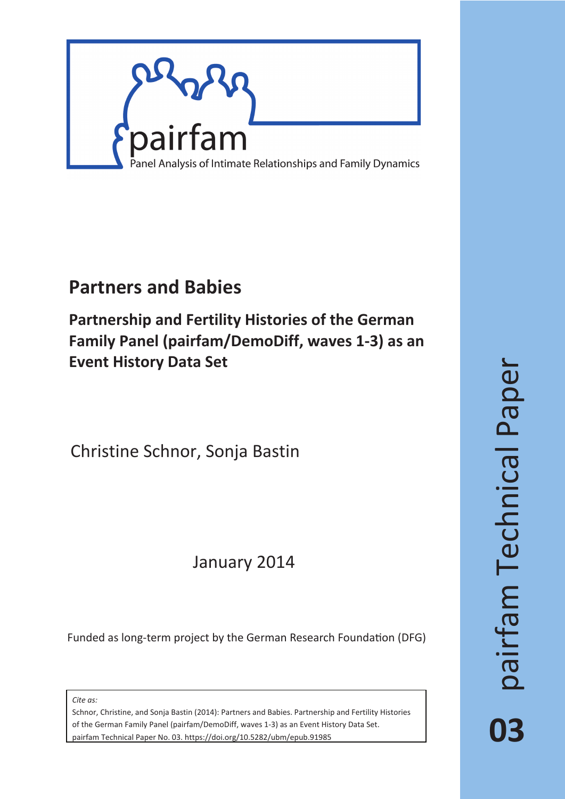

## **Partners and Babies**

**Partnership and Fertility Histories of the German Family Panel (pairfam/DemoDiff, waves 1-3) as an Event History Data Set**

Christine Schnor, Sonja Bastin

## January 2014

Funded as long-term project by the German Research Foundation (DFG)

*Cite as:*

Schnor, Christine, and Sonja Bastin (2014): Partners and Babies. Partnership and Fertility Histories of the German Family Panel (pairfam/DemoDiff, waves 1-3) as an Event History Data Set. pairfam Technical Paper No. 03. https://doi.org/10.5282/ubm/epub.91985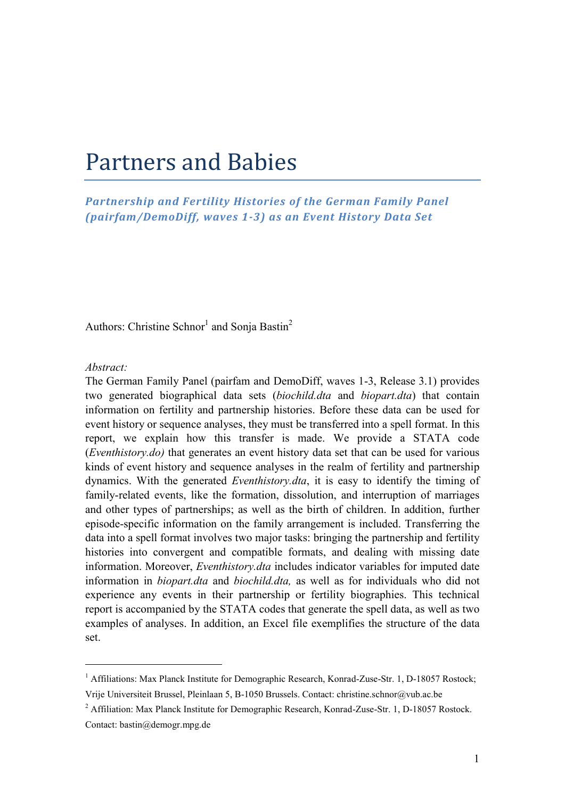# Partners and Babies

*Partnership and Fertility Histories of the German Family Panel (pairfam/DemoDiff, waves 1-3) as an Event History Data Set* 

Authors: Christine Schnor<sup>1</sup> and Sonja Bastin<sup>2</sup>

#### *Abstract:*

The German Family Panel (pairfam and DemoDiff, waves 1-3, Release 3.1) provides two generated biographical data sets (*biochild.dta* and *biopart.dta*) that contain information on fertility and partnership histories. Before these data can be used for event history or sequence analyses, they must be transferred into a spell format. In this report, we explain how this transfer is made. We provide a STATA code (*Eventhistory.do)* that generates an event history data set that can be used for various kinds of event history and sequence analyses in the realm of fertility and partnership dynamics. With the generated *Eventhistory.dta*, it is easy to identify the timing of family-related events, like the formation, dissolution, and interruption of marriages and other types of partnerships; as well as the birth of children. In addition, further episode-specific information on the family arrangement is included. Transferring the data into a spell format involves two major tasks: bringing the partnership and fertility histories into convergent and compatible formats, and dealing with missing date information. Moreover, *Eventhistory.dta* includes indicator variables for imputed date information in *biopart.dta* and *biochild.dta,* as well as for individuals who did not experience any events in their partnership or fertility biographies. This technical report is accompanied by the STATA codes that generate the spell data, as well as two examples of analyses. In addition, an Excel file exemplifies the structure of the data set.

<sup>&</sup>lt;sup>1</sup> Affiliations: Max Planck Institute for Demographic Research, Konrad-Zuse-Str. 1, D-18057 Rostock; Vrije Universiteit Brussel, Pleinlaan 5, B-1050 Brussels. Contact: christine.schnor@vub.ac.be

<sup>&</sup>lt;sup>2</sup> Affiliation: Max Planck Institute for Demographic Research, Konrad-Zuse-Str. 1, D-18057 Rostock. Contact: bastin@demogr.mpg.de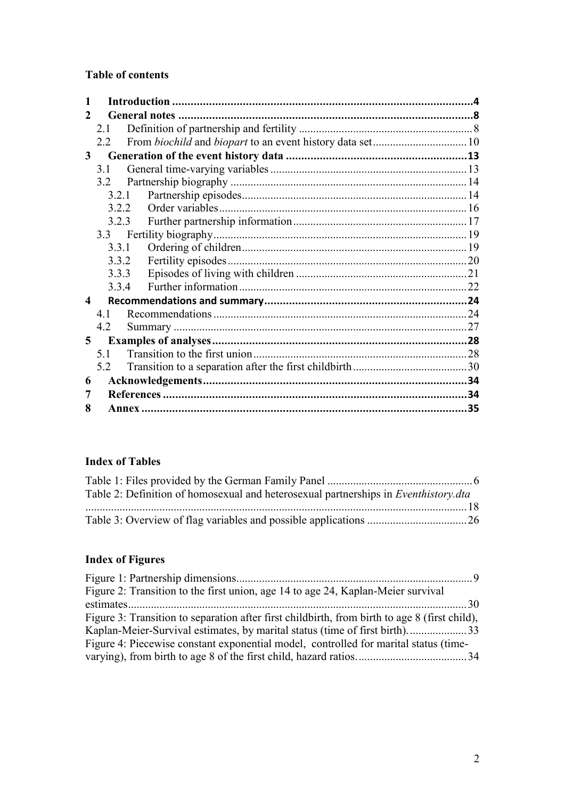## <span id="page-2-0"></span>**Table of contents**

| 2 |       |     |
|---|-------|-----|
|   | 2.1   |     |
|   | 2.2   |     |
| 3 |       |     |
|   | 31    |     |
|   | 3.2   |     |
|   | 3.2.1 |     |
|   | 3.2.2 |     |
|   | 3.2.3 |     |
|   |       |     |
|   | 3.3.1 |     |
|   | 3.3.2 |     |
|   | 3.3.3 |     |
|   | 3.3.4 |     |
| 4 |       |     |
|   | 41    |     |
|   | 4.2   |     |
| 5 |       |     |
|   | 5.1   |     |
|   | 5.2   |     |
| 6 |       |     |
| 7 |       |     |
| 8 |       | .35 |

### **Index of Tables**

| Table 2: Definition of homosexual and heterosexual partnerships in <i>Eventhistory.dta</i> |  |
|--------------------------------------------------------------------------------------------|--|
|                                                                                            |  |
|                                                                                            |  |

## **Index of Figures**

| Figure 2: Transition to the first union, age 14 to age 24, Kaplan-Meier survival              |  |
|-----------------------------------------------------------------------------------------------|--|
|                                                                                               |  |
| Figure 3: Transition to separation after first childbirth, from birth to age 8 (first child), |  |
|                                                                                               |  |
| Figure 4: Piecewise constant exponential model, controlled for marital status (time-          |  |
|                                                                                               |  |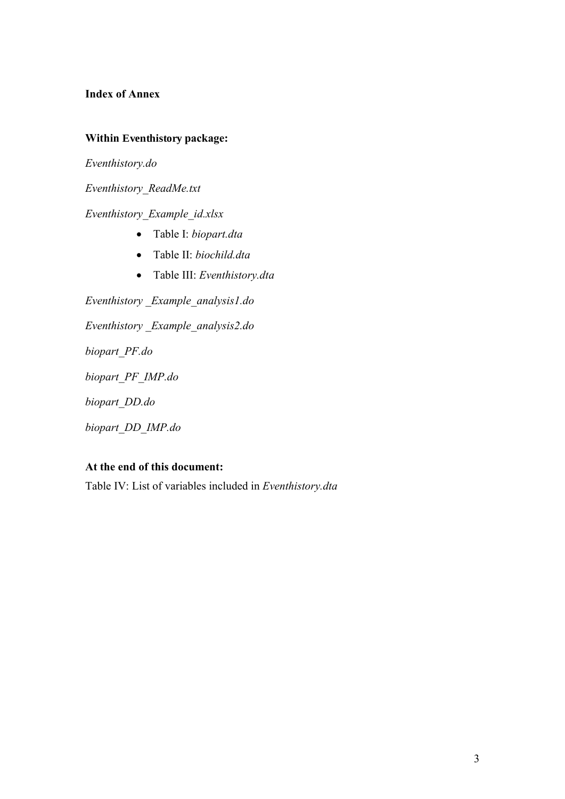### **Index of Annex**

#### **Within Eventhistory package:**

*Eventhistory.do* 

*Eventhistory\_ReadMe.txt* 

### *Eventhistory\_Example\_id.xlsx*

- Table I: *biopart.dta*
- Table II: *biochild.dta*
- Table III: *Eventhistory.dta*

*Eventhistory \_Example\_analysis1.do Eventhistory \_Example\_analysis2.do biopart\_PF.do biopart\_PF\_IMP.do biopart\_DD.do biopart\_DD\_IMP.do* 

#### **At the end of this document:**

Table IV: List of variables included in *Eventhistory.dta*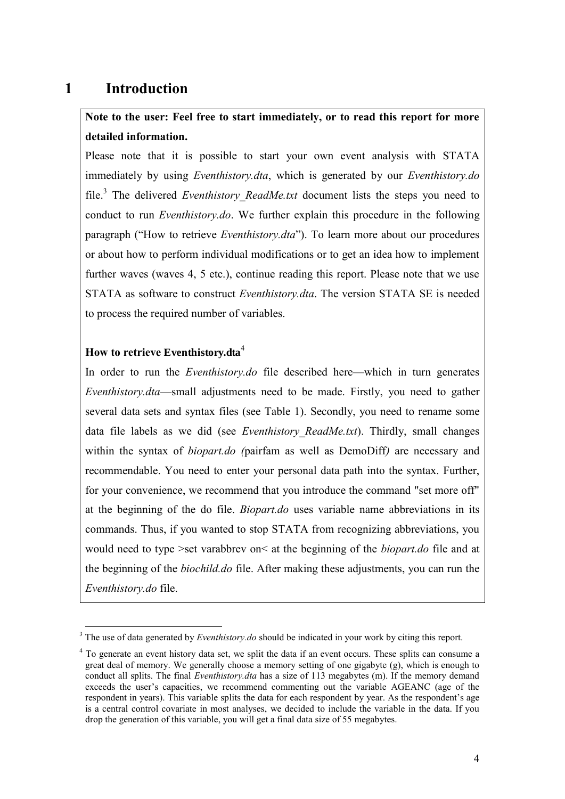## **1 Introduction**

## **Note to the user: Feel free to start immediately, or to read this report for more detailed information.**

Please note that it is possible to start your own event analysis with STATA immediately by using *Eventhistory.dta*, which is generated by our *Eventhistory.do* file.<sup>3</sup> The delivered *Eventhistory\_ReadMe.txt* document lists the steps you need to conduct to run *Eventhistory.do*. We further explain this procedure in the following paragraph ("How to retrieve *Eventhistory.dta*"). To learn more about our procedures or about how to perform individual modifications or to get an idea how to implement further waves (waves 4, 5 etc.), continue reading this report. Please note that we use STATA as software to construct *Eventhistory.dta*. The version STATA SE is needed to process the required number of variables.

### **How to retrieve Eventhistory.dta**<sup>4</sup>

<span id="page-4-0"></span>In order to run the *Eventhistory.do* file described here—which in turn generates *Eventhistory.dta*—small adjustments need to be made. Firstly, you need to gather several data sets and syntax files (see [Table 1\)](#page-4-0). Secondly, you need to rename some data file labels as we did (see *Eventhistory\_ReadMe.txt*). Thirdly, small changes within the syntax of *biopart.do (*pairfam as well as DemoDiff*)* are necessary and recommendable. You need to enter your personal data path into the syntax. Further, for your convenience, we recommend that you introduce the command "set more off" at the beginning of the do file. *Biopart.do* uses variable name abbreviations in its commands. Thus, if you wanted to stop STATA from recognizing abbreviations, you would need to type >set varabbrev on< at the beginning of the *biopart.do* file and at the beginning of the *biochild.do* file. After making these adjustments, you can run the *Eventhistory.do* file.

<sup>&</sup>lt;sup>3</sup> The use of data generated by *Eventhistory.do* should be indicated in your work by citing this report.

<sup>&</sup>lt;sup>4</sup> To generate an event history data set, we split the data if an event occurs. These splits can consume a great deal of memory. We generally choose a memory setting of one gigabyte (g), which is enough to conduct all splits. The final *Eventhistory.dta* has a size of 113 megabytes (m). If the memory demand exceeds the user's capacities, we recommend commenting out the variable AGEANC (age of the respondent in years). This variable splits the data for each respondent by year. As the respondent's age is a central control covariate in most analyses, we decided to include the variable in the data. If you drop the generation of this variable, you will get a final data size of 55 megabytes.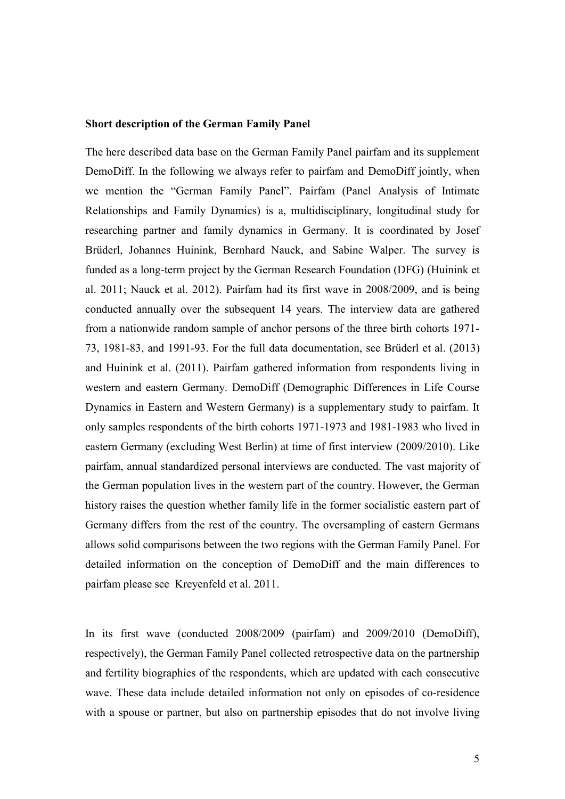#### **Short description of the German Family Panel**

The here described data base on the German Family Panel pairfam and its supplement DemoDiff. In the following we always refer to pairfam and DemoDiff jointly, when we mention the "German Family Panel". Pairfam (Panel Analysis of Intimate Relationships and Family Dynamics) is a, multidisciplinary, longitudinal study for researching partner and family dynamics in Germany. It is coordinated by Josef Brüderl, Johannes Huinink, Bernhard Nauck, and Sabine Walper. The survey is funded as a long-term project by the German Research Foundation (DFG) (Huinink et al. 2011; Nauck et al. 2012). Pairfam had its first wave in 2008/2009, and is being conducted annually over the subsequent 14 years. The interview data are gathered from a nationwide random sample of anchor persons of the three birth cohorts 1971- 73, 1981-83, and 1991-93. For the full data documentation, see Brüderl et al. (2013) and Huinink et al. (2011). Pairfam gathered information from respondents living in western and eastern Germany. DemoDiff (Demographic Differences in Life Course Dynamics in Eastern and Western Germany) is a supplementary study to pairfam. It only samples respondents of the birth cohorts 1971-1973 and 1981-1983 who lived in eastern Germany (excluding West Berlin) at time of first interview (2009/2010). Like pairfam, annual standardized personal interviews are conducted. The vast majority of the German population lives in the western part of the country. However, the German history raises the question whether family life in the former socialistic eastern part of Germany differs from the rest of the country. The oversampling of eastern Germans allows solid comparisons between the two regions with the German Family Panel. For detailed information on the conception of DemoDiff and the main differences to pairfam please see Kreyenfeld et al. 2011.

In its first wave (conducted 2008/2009 (pairfam) and 2009/2010 (DemoDiff), respectively), the German Family Panel collected retrospective data on the partnership and fertility biographies of the respondents, which are updated with each consecutive wave. These data include detailed information not only on episodes of co-residence with a spouse or partner, but also on partnership episodes that do not involve living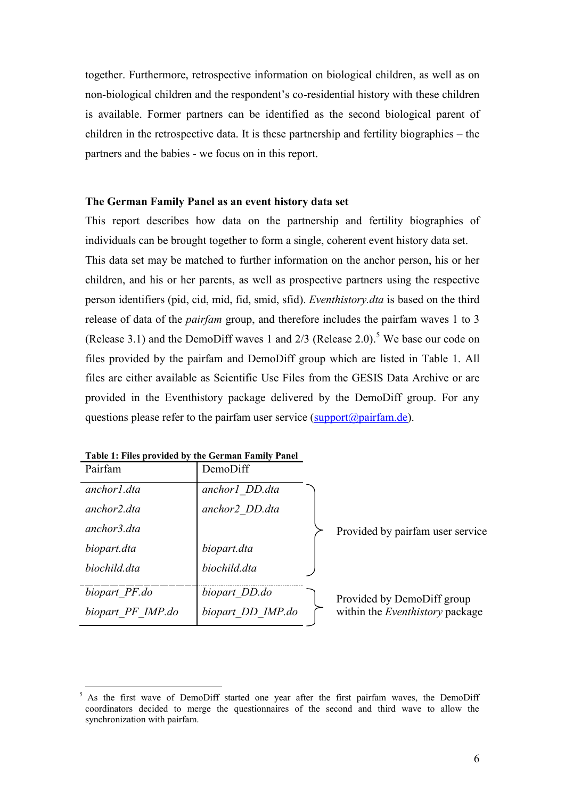together. Furthermore, retrospective information on biological children, as well as on non-biological children and the respondent's co-residential history with these children is available. Former partners can be identified as the second biological parent of children in the retrospective data. It is these partnership and fertility biographies – the partners and the babies - we focus on in this report.

#### **The German Family Panel as an event history data set**

<span id="page-6-0"></span>This report describes how data on the partnership and fertility biographies of individuals can be brought together to form a single, coherent event history data set. This data set may be matched to further information on the anchor person, his or her children, and his or her parents, as well as prospective partners using the respective person identifiers (pid, cid, mid, fid, smid, sfid). *Eventhistory.dta* is based on the third release of data of the *pairfam* group, and therefore includes the pairfam waves 1 to 3 (Release 3.1) and the DemoDiff waves 1 and  $2/3$  (Release 2.0).<sup>5</sup> We base our code on files provided by the pairfam and DemoDiff group which are listed in [Table 1.](#page-4-0) All files are either available as Scientific Use Files from the GESIS Data Archive or are provided in the Eventhistory package delivered by the DemoDiff group. For any questions please refer to the pairfam user service  $(\underline{\text{support}(a\text{pairfam.de})})$ .

| Pairfam           | DemoDiff          |                                                                      |
|-------------------|-------------------|----------------------------------------------------------------------|
| anchor1.dta       | anchor1 DD.dta    |                                                                      |
| anchor2.dta       | anchor2 DD.dta    |                                                                      |
| anchor3.dta       |                   | Provided by pairfam user service                                     |
| biopart.dta       | biopart.dta       |                                                                      |
| biochild.dta      | biochild.dta      |                                                                      |
| biopart PF.do     | biopart DD.do     |                                                                      |
| biopart PF IMP.do | biopart DD IMP.do | Provided by DemoDiff group<br>within the <i>Eventhistory</i> package |

<span id="page-6-1"></span>

| Table 1: Files provided by the German Family Panel |  |
|----------------------------------------------------|--|
|----------------------------------------------------|--|

 $\overline{a}$ 

 $5$  As the first wave of DemoDiff started one year after the first pairfam waves, the DemoDiff coordinators decided to merge the questionnaires of the second and third wave to allow the synchronization with pairfam.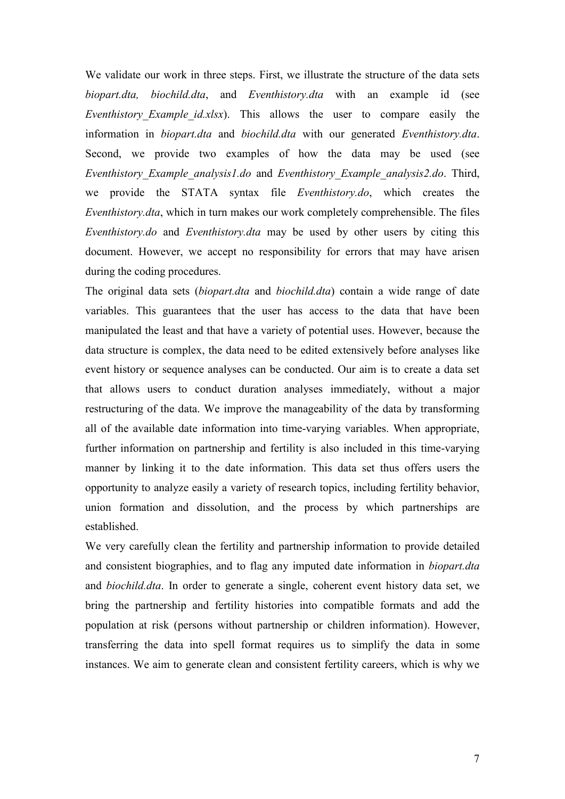We validate our work in three steps. First, we illustrate the structure of the data sets *biopart.dta, biochild.dta*, and *Eventhistory.dta* with an example id (see *Eventhistory Example id.xlsx*). This allows the user to compare easily the information in *biopart.dta* and *biochild.dta* with our generated *Eventhistory.dta*. Second, we provide two examples of how the data may be used (see *Eventhistory\_Example\_analysis1.do* and *Eventhistory\_Example\_analysis2.do*. Third, we provide the STATA syntax file *Eventhistory.do*, which creates the *Eventhistory.dta*, which in turn makes our work completely comprehensible. The files *Eventhistory.do* and *Eventhistory.dta* may be used by other users by citing this document. However, we accept no responsibility for errors that may have arisen during the coding procedures.

The original data sets (*biopart.dta* and *biochild.dta*) contain a wide range of date variables. This guarantees that the user has access to the data that have been manipulated the least and that have a variety of potential uses. However, because the data structure is complex, the data need to be edited extensively before analyses like event history or sequence analyses can be conducted. Our aim is to create a data set that allows users to conduct duration analyses immediately, without a major restructuring of the data. We improve the [manageability](http://www.dict.cc/englisch-deutsch/manageability.html) of the data by transforming all of the available date information into time-varying variables. When appropriate, further information on partnership and fertility is also included in this time-varying manner by linking it to the date information. This data set thus offers users the opportunity to analyze easily a variety of research topics, including fertility behavior, union formation and dissolution, and the process by which partnerships are established.

<span id="page-7-0"></span>We very carefully clean the fertility and partnership information to provide detailed and consistent biographies, and to flag any imputed date information in *biopart.dta* and *biochild.dta*. In order to generate a single, coherent event history data set, we bring the partnership and fertility histories into compatible formats and add the population at risk (persons without partnership or children information). However, transferring the data into spell format requires us to simplify the data in some instances. We aim to generate clean and consistent fertility careers, which is why we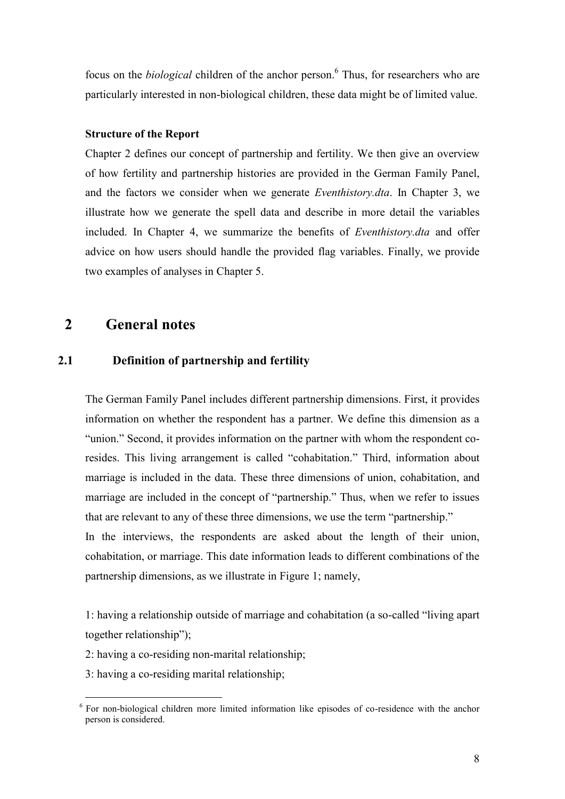focus on the *biological* children of the anchor person.<sup>6</sup> Thus, for researchers who are particularly interested in non-biological children, these data might be of limited value.

#### <span id="page-8-0"></span>**Structure of the Report**

Chapter [2](#page-6-0) defines our concept of partnership and fertility. We then give an overview of how fertility and partnership histories are provided in the German Family Panel, and the factors we consider when we generate *Eventhistory.dta*. In Chapter [3,](#page-11-0) we illustrate how we generate the spell data and describe in more detail the variables included. In Chapter [4,](#page-22-0) we summarize the benefits of *Eventhistory.dta* and offer advice on how users should handle the provided flag variables. Finally, we provide two examples of analyses in Chapter [5.](#page-26-0)

## **2 General notes**

#### **2.1 Definition of partnership and fertility**

The German Family Panel includes different partnership dimensions. First, it provides information on whether the respondent has a partner. We define this dimension as a "union." Second, it provides information on the partner with whom the respondent coresides. This living arrangement is called "cohabitation." Third, information about marriage is included in the data. These three dimensions of union, cohabitation, and marriage are included in the concept of "partnership." Thus, when we refer to issues that are relevant to any of these three dimensions, we use the term "partnership." In the interviews, the respondents are asked about the length of their union, cohabitation, or marriage. This date information leads to different combinations of the

1: having a relationship outside of marriage and cohabitation (a so-called "living apart together relationship");

2: having a co-residing non-marital relationship;

partnership dimensions, as we illustrate in [Figure 1;](#page-7-0) namely,

3: having a co-residing marital relationship;

 $\overline{a}$ 

 $6$  For non-biological children more limited information like episodes of co-residence with the anchor person is considered.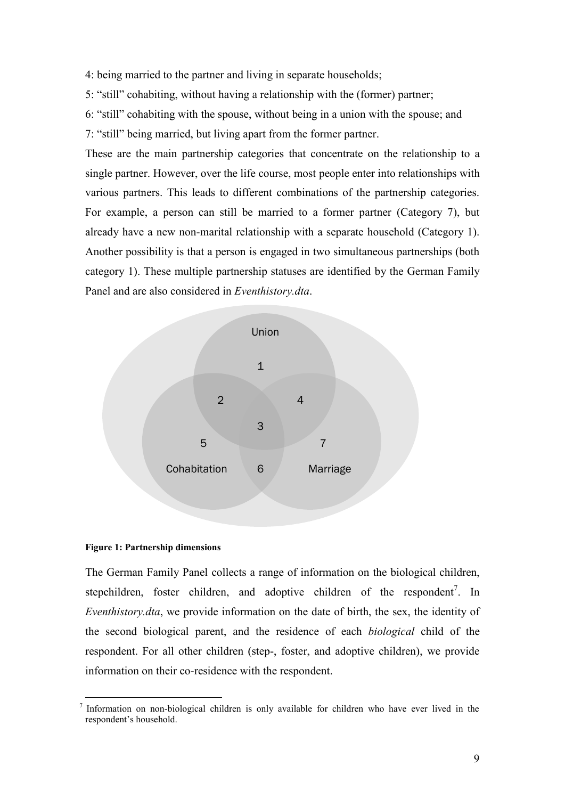- 4: being married to the partner and living in separate households;
- 5: "still" cohabiting, without having a relationship with the (former) partner;
- 6: "still" cohabiting with the spouse, without being in a union with the spouse; and
- 7: "still" being married, but living apart from the former partner.

These are the main partnership categories that concentrate on the relationship to a single partner. However, over the life course, most people enter into relationships with various partners. This leads to different combinations of the partnership categories. For example, a person can still be married to a former partner (Category 7), but already have a new non-marital relationship with a separate household (Category 1). Another possibility is that a person is engaged in two simultaneous partnerships (both category 1). These multiple partnership statuses are identified by the German Family Panel and are also considered in *Eventhistory.dta*.



#### **Figure 1: Partnership dimensions**

The German Family Panel collects a range of information on the biological children, stepchildren, foster children, and adoptive children of the respondent<sup>7</sup>. In *Eventhistory.dta*, we provide information on the date of birth, the sex, the identity of the second biological parent, and the residence of each *biological* child of the respondent. For all other children (step-, foster, and adoptive children), we provide information on their co-residence with the respondent.

 $\overline{a}$  $<sup>7</sup>$  Information on non-biological children is only available for children who have ever lived in the</sup> respondent's household.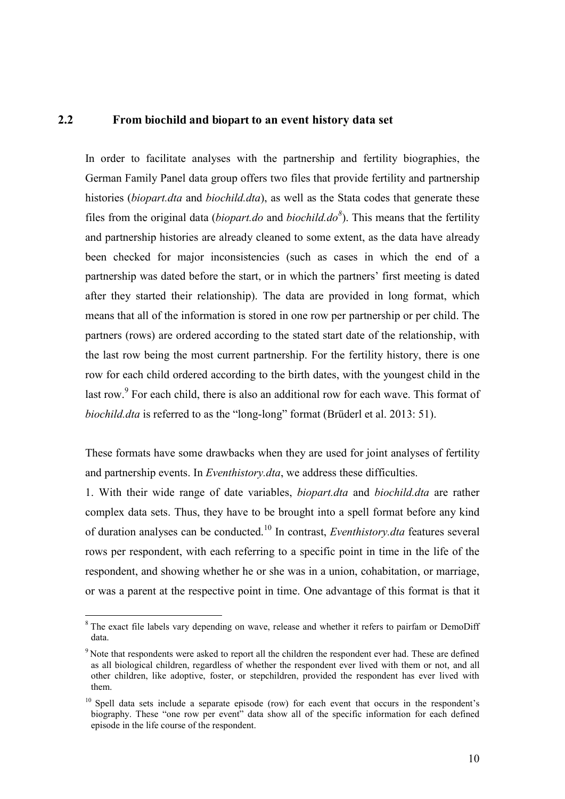#### **2.2 From biochild and biopart to an event history data set**

In order to facilitate analyses with the partnership and fertility biographies, the German Family Panel data group offers two files that provide fertility and partnership histories (*biopart.dta* and *biochild.dta*), as well as the Stata codes that generate these files from the original data (*biopart.do* and *biochild.do<sup>8</sup>* ). This means that the fertility and partnership histories are already cleaned to some extent, as the data have already been checked for major inconsistencies (such as cases in which the end of a partnership was dated before the start, or in which the partners' first meeting is dated after they started their relationship). The data are provided in long format, which means that all of the information is stored in one row per partnership or per child. The partners (rows) are ordered according to the stated start date of the relationship, with the last row being the most current partnership. For the fertility history, there is one row for each child ordered according to the birth dates, with the youngest child in the last row.<sup>9</sup> For each child, there is also an additional row for each wave. This format of *biochild.dta* is referred to as the "long-long" format (Brüderl et al. 2013: 51).

These formats have some drawbacks when they are used for joint analyses of fertility and partnership events. In *Eventhistory.dta*, we address these difficulties.

1. With their wide range of date variables, *biopart.dta* and *biochild.dta* are rather complex data sets. Thus, they have to be brought into a spell format before any kind of duration analyses can be conducted.<sup>10</sup> In contrast, *Eventhistory.dta* features several rows per respondent, with each referring to a specific point in time in the life of the respondent, and showing whether he or she was in a union, cohabitation, or marriage, or was a parent at the respective point in time. One advantage of this format is that it

l

<sup>&</sup>lt;sup>8</sup>The exact file labels vary depending on wave, release and whether it refers to pairfam or DemoDiff data.

<sup>&</sup>lt;sup>9</sup> Note that respondents were asked to report all the children the respondent ever had. These are defined as all biological children, regardless of whether the respondent ever lived with them or not, and all other children, like adoptive, foster, or stepchildren, provided the respondent has ever lived with them.

 $10$  Spell data sets include a separate episode (row) for each event that occurs in the respondent's biography. These "one row per event" data show all of the specific information for each defined episode in the life course of the respondent.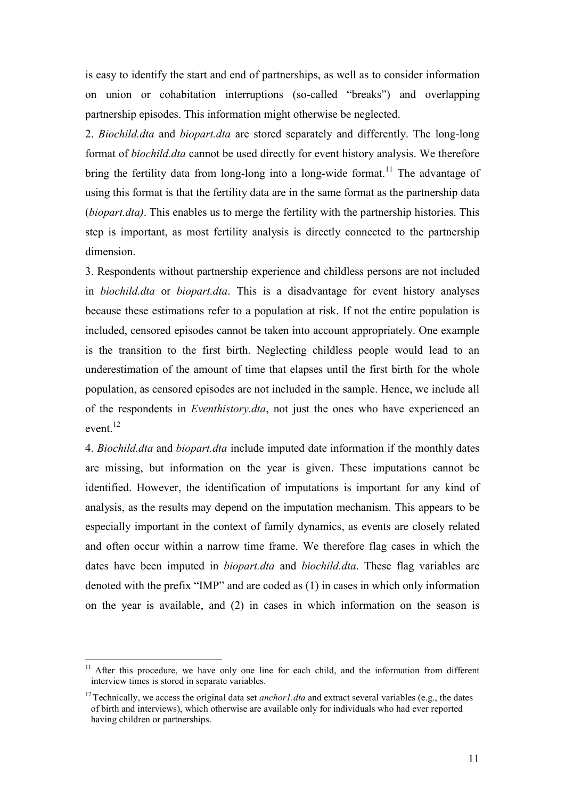is easy to identify the start and end of partnerships, as well as to consider information on union or cohabitation interruptions (so-called "breaks") and overlapping partnership episodes. This information might otherwise be neglected.

2. *Biochild.dta* and *biopart.dta* are stored separately and differently. The long-long format of *biochild.dta* cannot be used directly for event history analysis. We therefore bring the fertility data from long-long into a long-wide format.<sup>11</sup> The advantage of using this format is that the fertility data are in the same format as the partnership data (*biopart.dta)*. This enables us to merge the fertility with the partnership histories. This step is important, as most fertility analysis is directly connected to the partnership dimension.

<span id="page-11-0"></span>3. Respondents without partnership experience and childless persons are not included in *biochild.dta* or *biopart.dta*. This is a disadvantage for event history analyses because these estimations refer to a population at risk. If not the entire population is included, censored episodes cannot be taken into account appropriately. One example is the transition to the first birth. Neglecting childless people would lead to an underestimation of the amount of time that elapses until the first birth for the whole population, as censored episodes are not included in the sample. Hence, we include all of the respondents in *Eventhistory.dta*, not just the ones who have experienced an event.<sup>12</sup>

4. *Biochild.dta* and *biopart.dta* include imputed date information if the monthly dates are missing, but information on the year is given. These imputations cannot be identified. However, the identification of imputations is important for any kind of analysis, as the results may depend on the imputation mechanism. This appears to be especially important in the context of family dynamics, as events are closely related and often occur within a narrow time frame. We therefore flag cases in which the dates have been imputed in *biopart.dta* and *biochild.dta*. These flag variables are denoted with the prefix "IMP" and are coded as (1) in cases in which only information on the year is available, and (2) in cases in which information on the season is

<span id="page-11-1"></span> $\overline{a}$ 

<sup>&</sup>lt;sup>11</sup> After this procedure, we have only one line for each child, and the information from different interview times is stored in separate variables.

<sup>&</sup>lt;sup>12</sup> Technically, we access the original data set *anchor1.dta* and extract several variables (e.g., the dates of birth and interviews), which otherwise are available only for individuals who had ever reported having children or partnerships.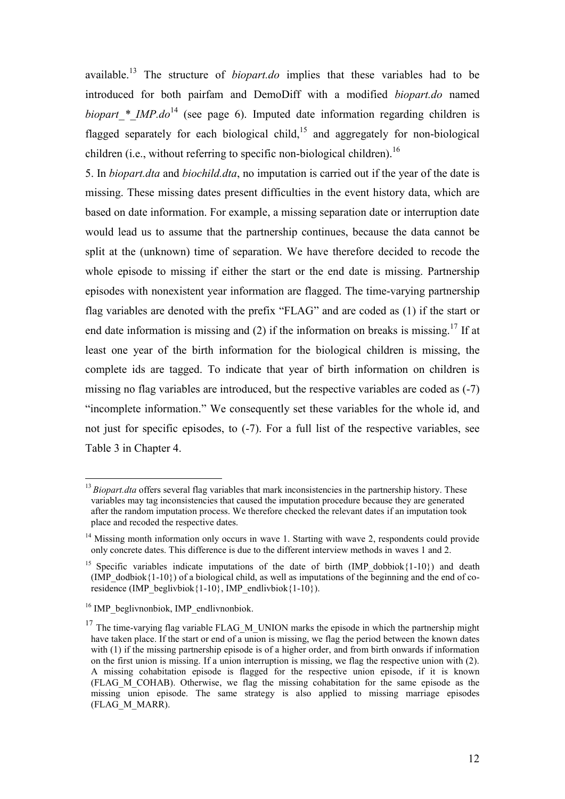available.<sup>13</sup> The structure of *biopart.do* implies that these variables had to be introduced for both pairfam and DemoDiff with a modified *biopart.do* named *biopart* \* *IMP.do*<sup>14</sup> (see page 6). Imputed date information regarding children is flagged separately for each biological child,<sup>15</sup> and aggregately for non-biological children (i.e., without referring to specific non-biological children).<sup>16</sup>

5. In *biopart.dta* and *biochild.dta*, no imputation is carried out if the year of the date is missing. These missing dates present difficulties in the event history data, which are based on date information. For example, a missing separation date or interruption date would lead us to assume that the partnership continues, because the data cannot be split at the (unknown) time of separation. We have therefore decided to recode the whole episode to missing if either the start or the end date is missing. Partnership episodes with nonexistent year information are flagged. The time-varying partnership flag variables are denoted with the prefix "FLAG" and are coded as (1) if the start or end date information is missing and (2) if the information on breaks is missing.<sup>17</sup> If at least one year of the birth information for the biological children is missing, the complete ids are tagged. To indicate that year of birth information on children is missing no flag variables are introduced, but the respective variables are coded as (-7) "incomplete information." We consequently set these variables for the whole id, and not just for specific episodes, to  $(-7)$ . For a full list of the respective variables, see [Table 3](#page-24-0) in Chapter 4.

<span id="page-12-0"></span> $\overline{a}$ 

<sup>&</sup>lt;sup>13</sup>*Biopart.dta* offers several flag variables that mark inconsistencies in the partnership history. These variables may tag inconsistencies that caused the imputation procedure because they are generated after the random imputation process. We therefore checked the relevant dates if an imputation took place and recoded the respective dates.

<span id="page-12-1"></span><sup>&</sup>lt;sup>14</sup> Missing month information only occurs in wave 1. Starting with wave 2, respondents could provide only concrete dates. This difference is due to the different interview methods in waves 1 and 2.

<sup>&</sup>lt;sup>15</sup> Specific variables indicate imputations of the date of birth (IMP dobbiok ${1-10}$ ) and death (IMP\_dodbiok ${1-10}$ ) of a biological child, as well as imputations of the beginning and the end of coresidence (IMP\_beglivbiok{1-10}, IMP\_endlivbiok{1-10}).

<sup>&</sup>lt;sup>16</sup> IMP beglivnonbiok, IMP endlivnonbiok.

 $17$  The time-varying flag variable FLAG M UNION marks the episode in which the partnership might have taken place. If the start or end of a union is missing, we flag the period between the known dates with (1) if the missing partnership episode is of a higher order, and from birth onwards if information on the first union is missing. If a union interruption is missing, we flag the respective union with (2). A missing cohabitation episode is flagged for the respective union episode, if it is known (FLAG\_M\_COHAB). Otherwise, we flag the missing cohabitation for the same episode as the missing union episode. The same strategy is also applied to missing marriage episodes (FLAG\_M\_MARR).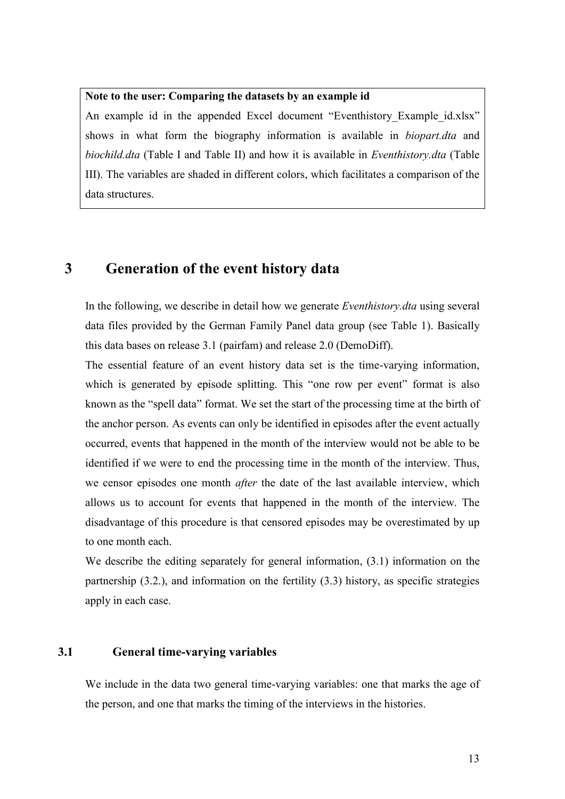#### **Note to the user: Comparing the datasets by an example id**

An example id in the appended Excel document "Eventhistory Example id.xlsx" shows in what form the biography information is available in *biopart.dta* and *biochild.dta* (Table I and Table II) and how it is available in *Eventhistory.dta* (Table III). The variables are shaded in different colors, which facilitates a comparison of the data structures.

## **3 Generation of the event history data**

In the following, we describe in detail how we generate *Eventhistory.dta* using several data files provided by the German Family Panel data group (see [Table 1\)](#page-4-0). Basically this data bases on release 3.1 (pairfam) and release 2.0 (DemoDiff).

The essential feature of an event history data set is the time-varying information, which is generated by episode splitting. This "one row per event" format is also known as the "spell data" format. We set the start of the processing time at the birth of the anchor person. As events can only be identified in episodes after the event actually occurred, events that happened in the month of the interview would not be able to be identified if we were to end the processing time in the month of the interview. Thus, we censor episodes one month *after* the date of the last available interview, which allows us to account for events that happened in the month of the interview. The disadvantage of this procedure is that censored episodes may be overestimated by up to one month each.

We describe the editing separately for general information, (3.1) information on the partnership (3.2.), and information on the fertility (3.3) history, as specific strategies apply in each case.

### **3.1 General time-varying variables**

We include in the data two general time-varying variables: one that marks the age of the person, and one that marks the timing of the interviews in the histories.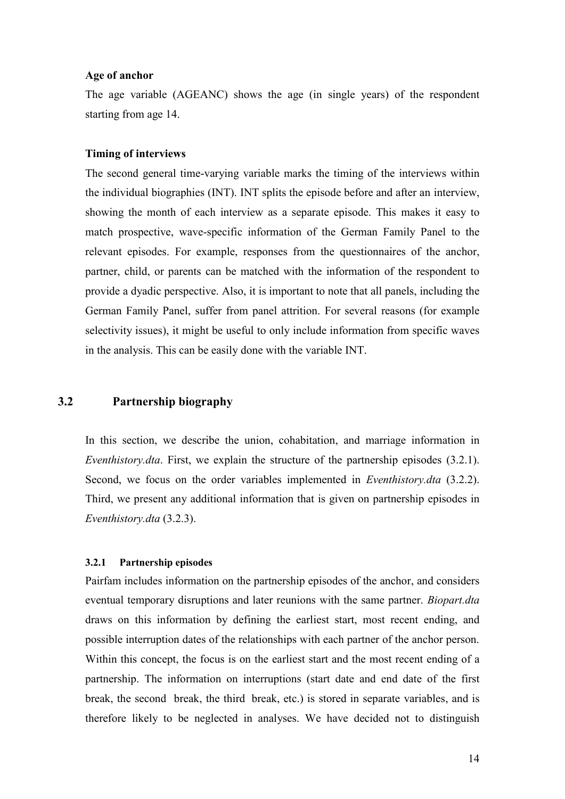#### **Age of anchor**

The age variable (AGEANC) shows the age (in single years) of the respondent starting from age 14.

#### **Timing of interviews**

<span id="page-14-0"></span>The second general time-varying variable marks the timing of the interviews within the individual biographies (INT). INT splits the episode before and after an interview, showing the month of each interview as a separate episode. This makes it easy to match prospective, wave-specific information of the German Family Panel to the relevant episodes. For example, responses from the questionnaires of the anchor, partner, child, or parents can be matched with the information of the respondent to provide a dyadic perspective. Also, it is important to note that all panels, including the German Family Panel, suffer from panel attrition. For several reasons (for example selectivity issues), it might be useful to only include information from specific waves in the analysis. This can be easily done with the variable INT.

### **3.2 Partnership biography**

In this section, we describe the union, cohabitation, and marriage information in *Eventhistory.dta*. First, we explain the structure of the partnership episodes (3.2.1). Second, we focus on the order variables implemented in *Eventhistory.dta* (3.2.2). Third, we present any additional information that is given on partnership episodes in *Eventhistory.dta* (3.2.3).

#### **3.2.1 Partnership episodes**

Pairfam includes information on the partnership episodes of the anchor, and considers eventual temporary disruptions and later reunions with the same partner. *Biopart.dta* draws on this information by defining the earliest start, most recent ending, and possible interruption dates of the relationships with each partner of the anchor person. Within this concept, the focus is on the earliest start and the most recent ending of a partnership. The information on interruptions (start date and end date of the first break, the second break, the third break, etc.) is stored in separate variables, and is therefore likely to be neglected in analyses. We have decided not to distinguish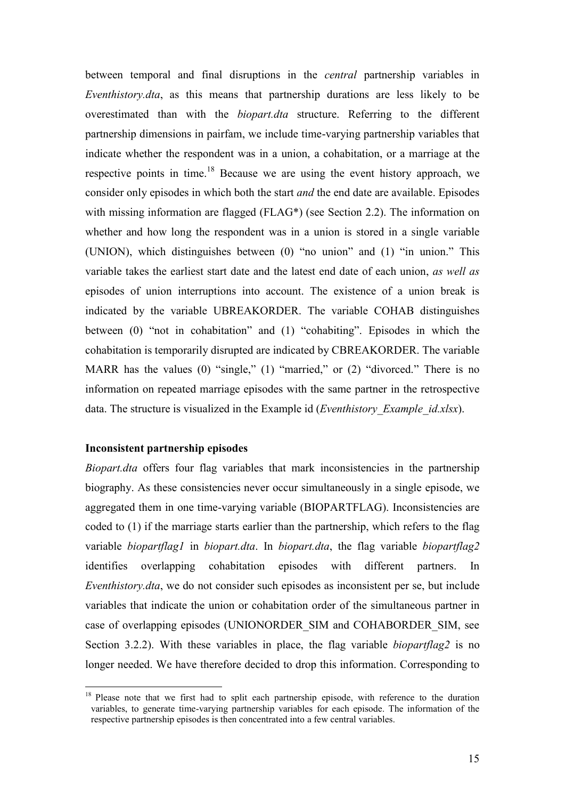between temporal and final disruptions in the *central* partnership variables in *Eventhistory.dta*, as this means that partnership durations are less likely to be overestimated than with the *biopart.dta* structure. Referring to the different partnership dimensions in pairfam, we include time-varying partnership variables that indicate whether the respondent was in a union, a cohabitation, or a marriage at the respective points in time.<sup>18</sup> Because we are using the event history approach, we consider only episodes in which both the start *and* the end date are available. Episodes with missing information are flagged (FLAG<sup>\*</sup>) (see Section 2.2). The information on whether and how long the respondent was in a union is stored in a single variable (UNION), which distinguishes between (0) "no union" and (1) "in union." This variable takes the earliest start date and the latest end date of each union, *as well as* episodes of union interruptions into account. The existence of a union break is indicated by the variable UBREAKORDER. The variable COHAB distinguishes between (0) "not in cohabitation" and (1) "cohabiting". Episodes in which the cohabitation is temporarily disrupted are indicated by CBREAKORDER. The variable MARR has the values (0) "single," (1) "married," or (2) "divorced." There is no information on repeated marriage episodes with the same partner in the retrospective data. The structure is visualized in the Example id (*Eventhistory\_Example\_id.xlsx*).

#### <span id="page-15-0"></span>**Inconsistent partnership episodes**

 $\overline{a}$ 

*Biopart.dta* offers four flag variables that mark inconsistencies in the partnership biography. As these consistencies never occur simultaneously in a single episode, we aggregated them in one time-varying variable (BIOPARTFLAG). Inconsistencies are coded to (1) if the marriage starts earlier than the partnership, which refers to the flag variable *biopartflag1* in *biopart.dta*. In *biopart.dta*, the flag variable *biopartflag2* identifies overlapping cohabitation episodes with different partners. In *Eventhistory.dta*, we do not consider such episodes as inconsistent per se, but include variables that indicate the union or cohabitation order of the simultaneous partner in case of overlapping episodes (UNIONORDER\_SIM and COHABORDER\_SIM, see Section 3.2.2). With these variables in place, the flag variable *biopartflag2* is no longer needed. We have therefore decided to drop this information. Corresponding to

<sup>&</sup>lt;sup>18</sup> Please note that we first had to split each partnership episode, with reference to the duration variables, to generate time-varying partnership variables for each episode. The information of the respective partnership episodes is then concentrated into a few central variables.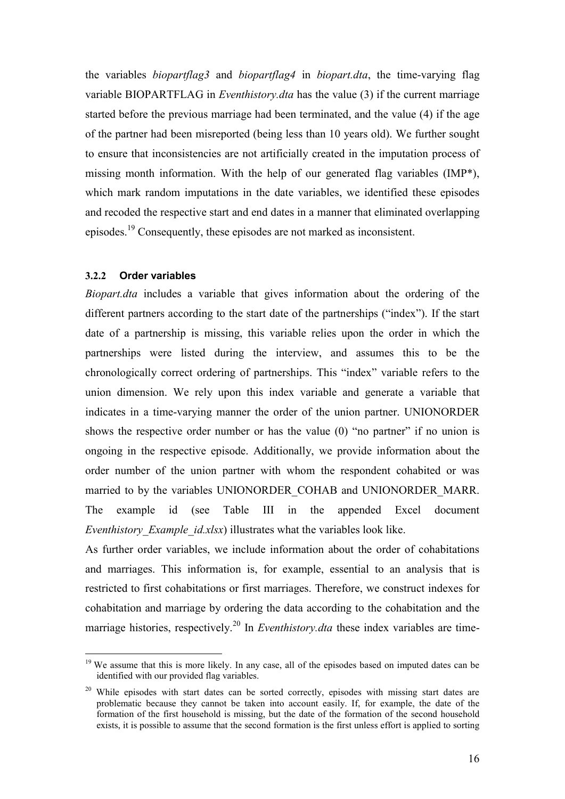the variables *biopartflag3* and *biopartflag4* in *biopart.dta*, the time-varying flag variable BIOPARTFLAG in *Eventhistory.dta* has the value (3) if the current marriage started before the previous marriage had been terminated, and the value (4) if the age of the partner had been misreported (being less than 10 years old). We further sought to ensure that inconsistencies are not artificially created in the imputation process of missing month information. With the help of our generated flag variables (IMP\*), which mark random imputations in the date variables, we identified these episodes and recoded the respective start and end dates in a manner that eliminated overlapping episodes.<sup>19</sup> Consequently, these episodes are not marked as inconsistent.

#### **3.2.2 Order variables**

 $\overline{a}$ 

*Biopart.dta* includes a variable that gives information about the ordering of the different partners according to the start date of the partnerships ("index"). If the start date of a partnership is missing, this variable relies upon the order in which the partnerships were listed during the interview, and assumes this to be the chronologically correct ordering of partnerships. This "index" variable refers to the union dimension. We rely upon this index variable and generate a variable that indicates in a time-varying manner the order of the union partner. UNIONORDER shows the respective order number or has the value (0) "no partner" if no union is ongoing in the respective episode. Additionally, we provide information about the order number of the union partner with whom the respondent cohabited or was married to by the variables UNIONORDER\_COHAB and UNIONORDER\_MARR. The example id (see Table III in the appended Excel document *Eventhistory Example id.xlsx*) illustrates what the variables look like.

<span id="page-16-0"></span>As further order variables, we include information about the order of cohabitations and marriages. This information is, for example, essential to an analysis that is restricted to first cohabitations or first marriages. Therefore, we construct indexes for cohabitation and marriage by ordering the data according to the cohabitation and the marriage histories, respectively.<sup>20</sup> In *Eventhistory.dta* these index variables are time-

<sup>&</sup>lt;sup>19</sup> We assume that this is more likely. In any case, all of the episodes based on imputed dates can be identified with our provided flag variables.

<sup>&</sup>lt;sup>20</sup> While episodes with start dates can be sorted correctly, episodes with missing start dates are problematic because they cannot be taken into account easily. If, for example, the date of the formation of the first household is missing, but the date of the formation of the second household exists, it is possible to assume that the second formation is the first unless effort is applied to sorting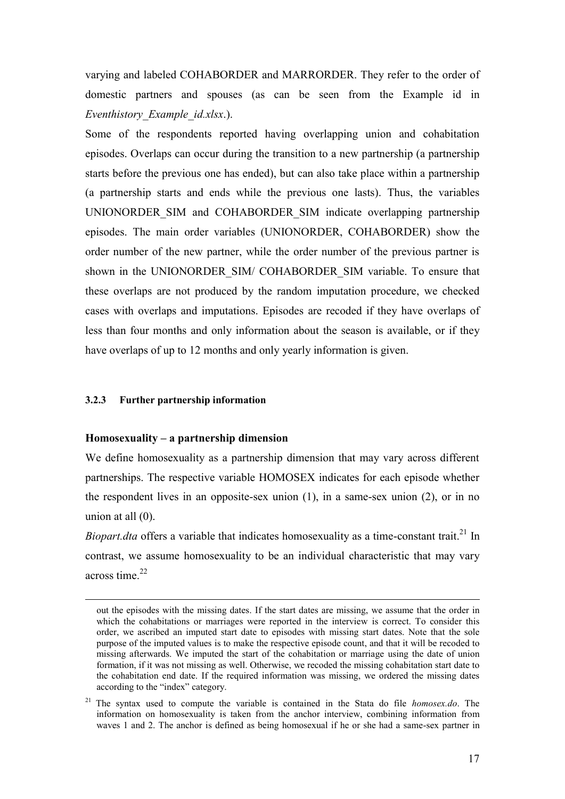varying and labeled COHABORDER and MARRORDER. They refer to the order of domestic partners and spouses (as can be seen from the Example id in *Eventhistory\_Example\_id.xlsx*.).

Some of the respondents reported having overlapping union and cohabitation episodes. Overlaps can occur during the transition to a new partnership (a partnership starts before the previous one has ended), but can also take place within a partnership (a partnership starts and ends while the previous one lasts). Thus, the variables UNIONORDER\_SIM and COHABORDER\_SIM indicate overlapping partnership episodes. The main order variables (UNIONORDER, COHABORDER) show the order number of the new partner, while the order number of the previous partner is shown in the UNIONORDER SIM/ COHABORDER SIM variable. To ensure that these overlaps are not produced by the random imputation procedure, we checked cases with overlaps and imputations. Episodes are recoded if they have overlaps of less than four months and only information about the season is available, or if they have overlaps of up to 12 months and only yearly information is given.

#### **3.2.3 Further partnership information**

<span id="page-17-1"></span> $\overline{a}$ 

#### **Homosexuality – a partnership dimension**

<span id="page-17-0"></span>We define homosexuality as a partnership dimension that may vary across different partnerships. The respective variable HOMOSEX indicates for each episode whether the respondent lives in an opposite-sex union (1), in a same-sex union (2), or in no union at all (0).

*Biopart.dta* offers a variable that indicates homosexuality as a time-constant trait.<sup>21</sup> In contrast, we assume homosexuality to be an individual characteristic that may vary across time. $^{22}$ 

out the episodes with the missing dates. If the start dates are missing, we assume that the order in which the cohabitations or marriages were reported in the interview is correct. To consider this order, we ascribed an imputed start date to episodes with missing start dates. Note that the sole purpose of the imputed values is to make the respective episode count, and that it will be recoded to missing afterwards. We imputed the start of the cohabitation or marriage using the date of union formation, if it was not missing as well. Otherwise, we recoded the missing cohabitation start date to the cohabitation end date. If the required information was missing, we ordered the missing dates according to the "index" category.

<sup>&</sup>lt;sup>21</sup> The syntax used to compute the variable is contained in the Stata do file *homosex.do*. The information on homosexuality is taken from the anchor interview, combining information from waves 1 and 2. The anchor is defined as being homosexual if he or she had a same-sex partner in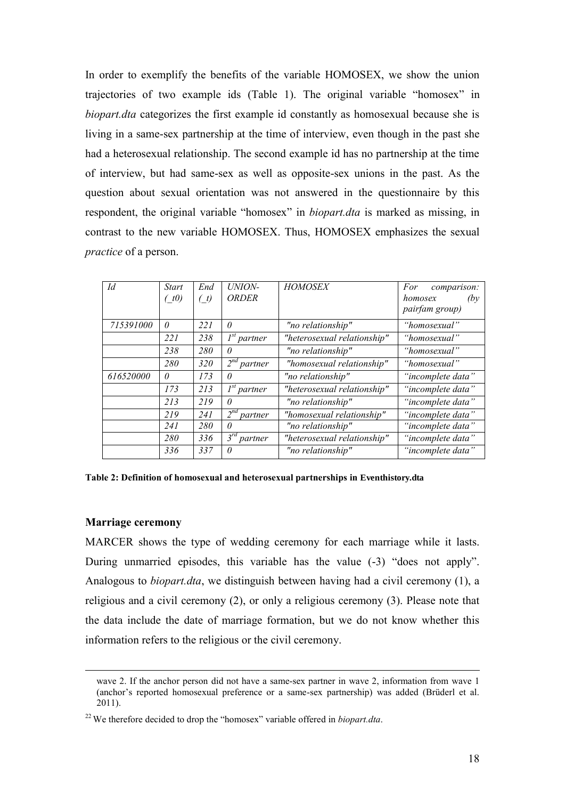In order to exemplify the benefits of the variable HOMOSEX, we show the union trajectories of two example ids (Table 1). The original variable "homosex" in *biopart.dta* categorizes the first example id constantly as homosexual because she is living in a same-sex partnership at the time of interview, even though in the past she had a heterosexual relationship. The second example id has no partnership at the time of interview, but had same-sex as well as opposite-sex unions in the past. As the question about sexual orientation was not answered in the questionnaire by this respondent, the original variable "homosex" in *biopart.dta* is marked as missing, in contrast to the new variable HOMOSEX. Thus, HOMOSEX emphasizes the sexual *practice* of a person.

| Id        | <b>Start</b><br>(t0) | End<br>(t) | UNION-<br>ORDER                       | <b>HOMOSEX</b>              | For<br>comparison:<br>homosex<br>(bv<br>pairfam group) |
|-----------|----------------------|------------|---------------------------------------|-----------------------------|--------------------------------------------------------|
| 715391000 | $\theta$             | 221        | 0                                     | "no relationship"           | "homosexual"                                           |
|           | 221                  | 238        | $I^{st}$ partner                      | "heterosexual relationship" | "homosexual"                                           |
|           | 238                  | 280        | $\theta$                              | "no relationship"           | "homosexual"                                           |
|           | 280                  | 320        | $2^{nd}$ partner                      | "homosexual relationship"   | "homosexual"                                           |
| 616520000 | $\theta$             | 173        | $\theta$                              | "no relationship"           | "incomplete data"                                      |
|           | 173                  | 213        | $I^{st}$ partner                      | "heterosexual relationship" | "incomplete data"                                      |
|           | 213                  | 219        | 0                                     | "no relationship"           | "incomplete data"                                      |
|           | 219                  | 241        | $2^{nd}$<br>partner                   | "homosexual relationship"   | "incomplete data"                                      |
|           | 241                  | 280        | 0                                     | "no relationship"           | "incomplete data"                                      |
|           | 280                  | 336        | $\overline{\mathcal{E}}^{rd}$ partner | "heterosexual relationship" | "incomplete data"                                      |
|           | 336                  | 337        | 0                                     | "no relationship"           | "incomplete data"                                      |

<span id="page-18-0"></span>**Table 2: Definition of homosexual and heterosexual partnerships in Eventhistory.dta** 

#### **Marriage ceremony**

 $\overline{a}$ 

MARCER shows the type of wedding ceremony for each marriage while it lasts. During unmarried episodes, this variable has the value  $(-3)$  "does not apply". Analogous to *biopart.dta*, we distinguish between having had a civil ceremony (1), a religious and a civil ceremony (2), or only a religious ceremony (3). Please note that the data include the date of marriage formation, but we do not know whether this information refers to the religious or the civil ceremony.

wave 2. If the anchor person did not have a same-sex partner in wave 2, information from wave 1 (anchor's reported homosexual preference or a same-sex partnership) was added (Brüderl et al. 2011).

<sup>22</sup>We therefore decided to drop the "homosex" variable offered in *biopart.dta*.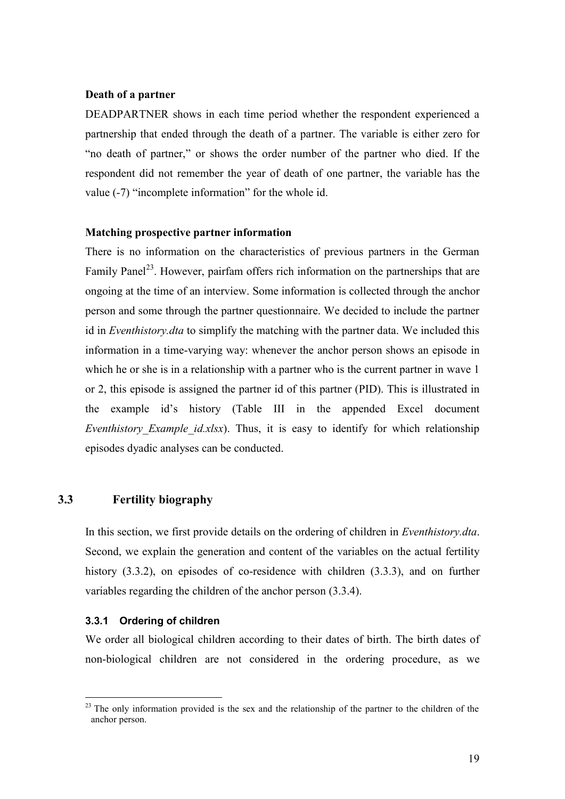#### **Death of a partner**

DEADPARTNER shows in each time period whether the respondent experienced a partnership that ended through the death of a partner. The variable is either zero for "no death of partner," or shows the order number of the partner who died. If the respondent did not remember the year of death of one partner, the variable has the value (-7) "incomplete information" for the whole id.

#### <span id="page-19-0"></span>**Matching prospective partner information**

There is no information on the characteristics of previous partners in the German Family Panel<sup>23</sup>. However, pairfam offers rich information on the partnerships that are ongoing at the time of an interview. Some information is collected through the anchor person and some through the partner questionnaire. We decided to include the partner id in *Eventhistory.dta* to simplify the matching with the partner data. We included this information in a time-varying way: whenever the anchor person shows an episode in which he or she is in a relationship with a partner who is the current partner in wave 1 or 2, this episode is assigned the partner id of this partner (PID). This is illustrated in the example id's history (Table III in the appended Excel document *Eventhistory Example id.xlsx*). Thus, it is easy to identify for which relationship episodes dyadic analyses can be conducted.

#### **3.3 Fertility biography**

In this section, we first provide details on the ordering of children in *Eventhistory.dta*. Second, we explain the generation and content of the variables on the actual fertility history (3.3.2), on episodes of co-residence with children (3.3.3), and on further variables regarding the children of the anchor person (3.3.4).

#### **3.3.1 Ordering of children**

 $\overline{a}$ 

We order all biological children according to their dates of birth. The birth dates of non-biological children are not considered in the ordering procedure, as we

 $23$  The only information provided is the sex and the relationship of the partner to the children of the anchor person.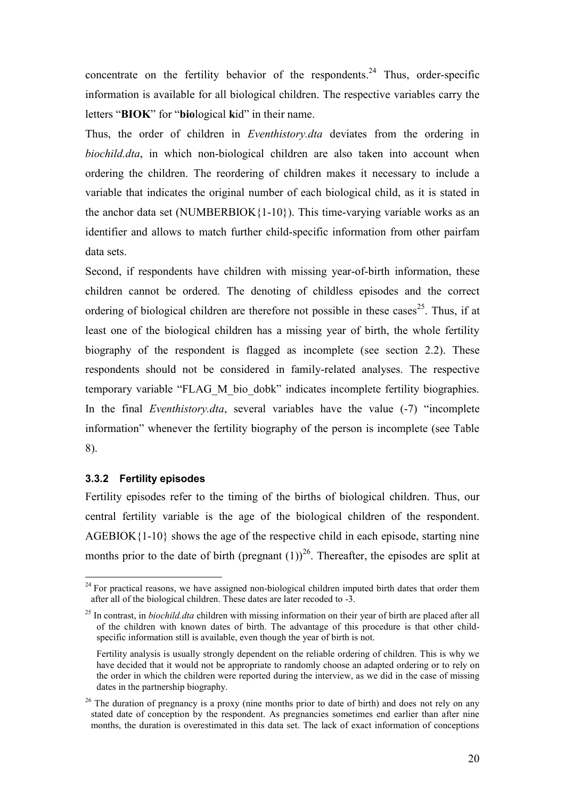concentrate on the fertility behavior of the respondents.<sup>24</sup> Thus, order-specific information is available for all biological children. The respective variables carry the letters "**BIOK**" for "**bio**logical **k**id" in their name.

Thus, the order of children in *Eventhistory.dta* deviates from the ordering in *biochild.dta*, in which non-biological children are also taken into account when ordering the children. The reordering of children makes it necessary to include a variable that indicates the original number of each biological child, as it is stated in the anchor data set (NUMBERBIOK $\{1-10\}$ ). This time-varying variable works as an identifier and allows to match further child-specific information from other pairfam data sets.

<span id="page-20-0"></span>Second, if respondents have children with missing year-of-birth information, these children cannot be ordered. The denoting of childless episodes and the correct ordering of biological children are therefore not possible in these cases<sup>25</sup>. Thus, if at least one of the biological children has a missing year of birth, the whole fertility biography of the respondent is flagged as incomplete (see section 2.2). These respondents should not be considered in family-related analyses. The respective temporary variable "FLAG\_M\_bio\_dobk" indicates incomplete fertility biographies. In the final *Eventhistory.dta*, several variables have the value (-7) "incomplete information" whenever the fertility biography of the person is incomplete (see Table 8).

#### **3.3.2 Fertility episodes**

 $\overline{a}$ 

Fertility episodes refer to the timing of the births of biological children. Thus, our central fertility variable is the age of the biological children of the respondent. AGEBIOK{1-10} shows the age of the respective child in each episode, starting nine months prior to the date of birth (pregnant  $(1)$ )<sup>26</sup>. Thereafter, the episodes are split at

<sup>&</sup>lt;sup>24</sup> For practical reasons, we have assigned non-biological children imputed birth dates that order them after all of the biological children. These dates are later recoded to -3.

<sup>25</sup> In contrast, in *biochild.dta* children with missing information on their year of birth are placed after all of the children with known dates of birth. The advantage of this procedure is that other childspecific information still is available, even though the year of birth is not.

Fertility analysis is usually strongly dependent on the reliable ordering of children. This is why we have decided that it would not be appropriate to randomly choose an adapted ordering or to rely on the order in which the children were reported during the interview, as we did in the case of missing dates in the partnership biography.

<sup>&</sup>lt;sup>26</sup> The duration of pregnancy is a proxy (nine months prior to date of birth) and does not rely on any stated date of conception by the respondent. As pregnancies sometimes end earlier than after nine months, the duration is overestimated in this data set. The lack of exact information of conceptions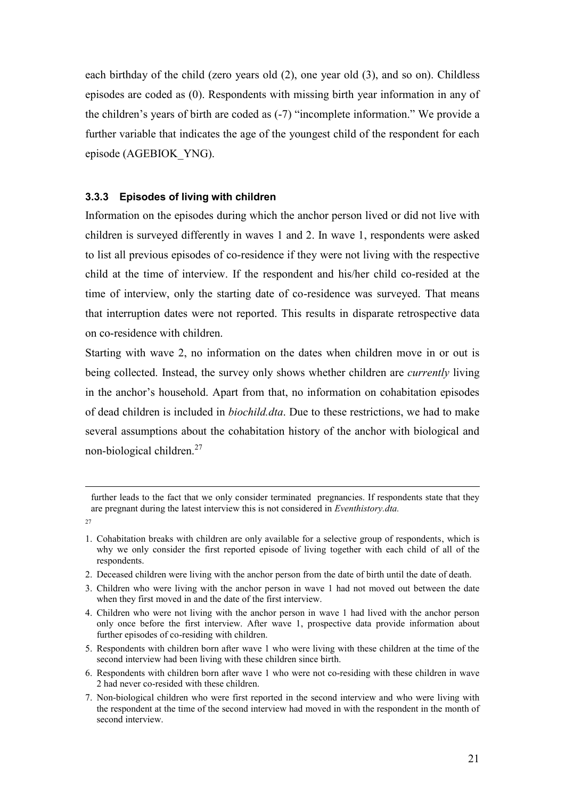each birthday of the child (zero years old (2), one year old (3), and so on). Childless episodes are coded as (0). Respondents with missing birth year information in any of the children's years of birth are coded as (-7) "incomplete information." We provide a further variable that indicates the age of the youngest child of the respondent for each episode (AGEBIOK\_YNG).

#### **3.3.3 Episodes of living with children**

Information on the episodes during which the anchor person lived or did not live with children is surveyed differently in waves 1 and 2. In wave 1, respondents were asked to list all previous episodes of co-residence if they were not living with the respective child at the time of interview. If the respondent and his/her child co-resided at the time of interview, only the starting date of co-residence was surveyed. That means that interruption dates were not reported. This results in disparate retrospective data on co-residence with children.

Starting with wave 2, no information on the dates when children move in or out is being collected. Instead, the survey only shows whether children are *currently* living in the anchor's household. Apart from that, no information on cohabitation episodes of dead children is included in *biochild.dta*. Due to these restrictions, we had to make several assumptions about the cohabitation history of the anchor with biological and non-biological children. $27$ 

 $\overline{a}$ 

2. Deceased children were living with the anchor person from the date of birth until the date of death.

- 5. Respondents with children born after wave 1 who were living with these children at the time of the second interview had been living with these children since birth.
- 6. Respondents with children born after wave 1 who were not co-residing with these children in wave 2 had never co-resided with these children.
- 7. Non-biological children who were first reported in the second interview and who were living with the respondent at the time of the second interview had moved in with the respondent in the month of second interview.

further leads to the fact that we only consider terminated pregnancies. If respondents state that they are pregnant during the latest interview this is not considered in *Eventhistory.dta.* 

<sup>27</sup>

<sup>1.</sup> Cohabitation breaks with children are only available for a selective group of respondents, which is why we only consider the first reported episode of living together with each child of all of the respondents.

<sup>3.</sup> Children who were living with the anchor person in wave 1 had not moved out between the date when they first moved in and the date of the first interview.

<sup>4.</sup> Children who were not living with the anchor person in wave 1 had lived with the anchor person only once before the first interview. After wave 1, prospective data provide information about further episodes of co-residing with children.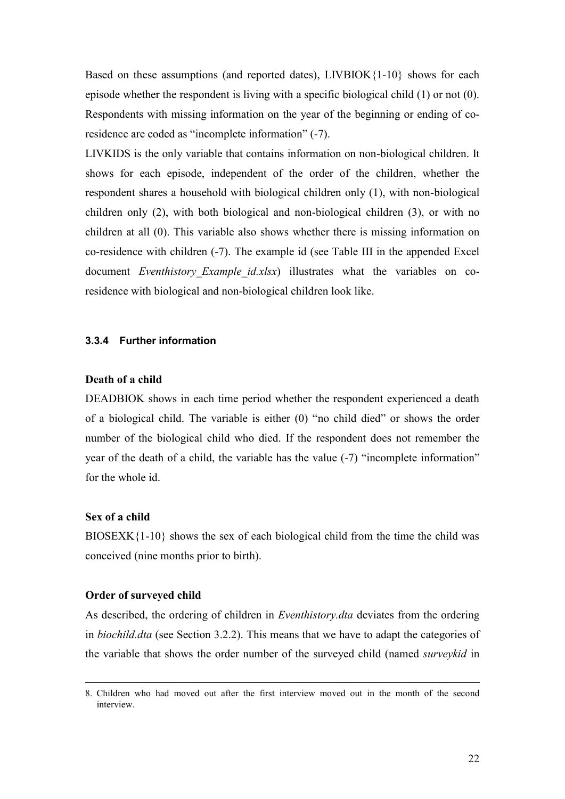<span id="page-22-1"></span><span id="page-22-0"></span>Based on these assumptions (and reported dates),  $LIVBIOK$ {1-10} shows for each episode whether the respondent is living with a specific biological child (1) or not (0). Respondents with missing information on the year of the beginning or ending of coresidence are coded as "incomplete information" (-7).

LIVKIDS is the only variable that contains information on non-biological children. It shows for each episode, independent of the order of the children, whether the respondent shares a household with biological children only (1), with non-biological children only (2), with both biological and non-biological children (3), or with no children at all (0). This variable also shows whether there is missing information on co-residence with children (-7). The example id (see Table III in the appended Excel document *Eventhistory Example id.xlsx*) illustrates what the variables on coresidence with biological and non-biological children look like.

#### **3.3.4 Further information**

#### **Death of a child**

DEADBIOK shows in each time period whether the respondent experienced a death of a biological child. The variable is either (0) "no child died" or shows the order number of the biological child who died. If the respondent does not remember the year of the death of a child, the variable has the value (-7) "incomplete information" for the whole id.

#### **Sex of a child**

 $\overline{a}$ 

 $BIOSEXK{1-10}$  shows the sex of each biological child from the time the child was conceived (nine months prior to birth).

#### **Order of surveyed child**

As described, the ordering of children in *Eventhistory.dta* deviates from the ordering in *biochild.dta* (see Section 3.2.2). This means that we have to adapt the categories of the variable that shows the order number of the surveyed child (named *surveykid* in

<sup>8.</sup> Children who had moved out after the first interview moved out in the month of the second interview.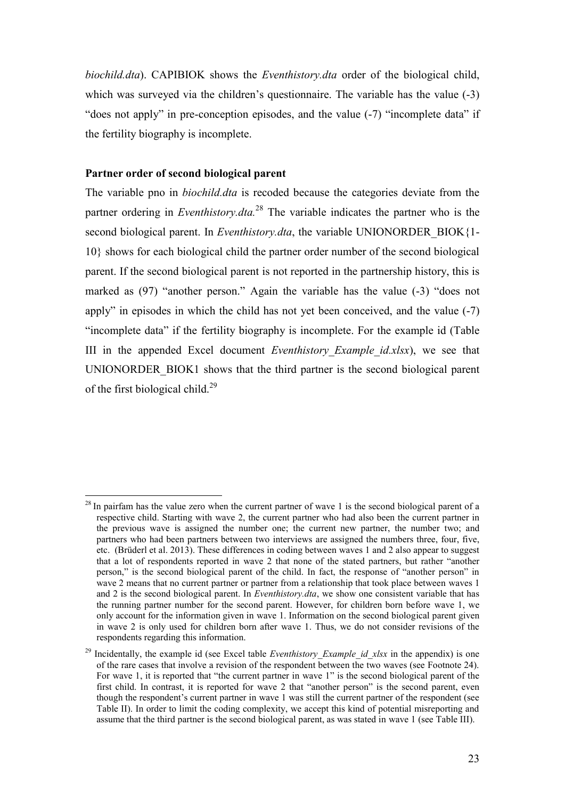*biochild.dta*). CAPIBIOK shows the *Eventhistory.dta* order of the biological child, which was surveyed via the children's questionnaire. The variable has the value (-3) "does not apply" in pre-conception episodes, and the value (-7) "incomplete data" if the fertility biography is incomplete.

#### **Partner order of second biological parent**

 $\overline{a}$ 

The variable pno in *biochild.dta* is recoded because the categories deviate from the partner ordering in *Eventhistory.dta.*<sup>28</sup> The variable indicates the partner who is the second biological parent. In *Eventhistory.dta*, the variable UNIONORDER BIOK{1-10} shows for each biological child the partner order number of the second biological parent. If the second biological parent is not reported in the partnership history, this is marked as (97) "another person." Again the variable has the value (-3) "does not apply" in episodes in which the child has not yet been conceived, and the value (-7) "incomplete data" if the fertility biography is incomplete. For the example id (Table III in the appended Excel document *Eventhistory\_Example\_id.xlsx*), we see that UNIONORDER\_BIOK1 shows that the third partner is the second biological parent of the first biological child.<sup>29</sup>

<sup>&</sup>lt;sup>28</sup> In pairfam has the value zero when the current partner of wave 1 is the second biological parent of a respective child. Starting with wave 2, the current partner who had also been the current partner in the previous wave is assigned the number one; the current new partner, the number two; and partners who had been partners between two interviews are assigned the numbers three, four, five, etc. (Brüderl et al. 2013). These differences in coding between waves 1 and 2 also appear to suggest that a lot of respondents reported in wave 2 that none of the stated partners, but rather "another person," is the second biological parent of the child. In fact, the response of "another person" in wave 2 means that no current partner or partner from a relationship that took place between waves 1 and 2 is the second biological parent. In *Eventhistory.dta*, we show one consistent variable that has the running partner number for the second parent. However, for children born before wave 1, we only account for the information given in wave 1. Information on the second biological parent given in wave 2 is only used for children born after wave 1. Thus, we do not consider revisions of the respondents regarding this information.

Incidentally, the example id (see Excel table *Eventhistory Example id xlsx* in the appendix) is one of the rare cases that involve a revision of the respondent between the two waves (see Footnote 24). For wave 1, it is reported that "the current partner in wave 1" is the second biological parent of the first child. In contrast, it is reported for wave 2 that "another person" is the second parent, even though the respondent's current partner in wave 1 was still the current partner of the respondent (see Table II). In order to limit the coding complexity, we accept this kind of potential misreporting and assume that the third partner is the second biological parent, as was stated in wave 1 (see Table III).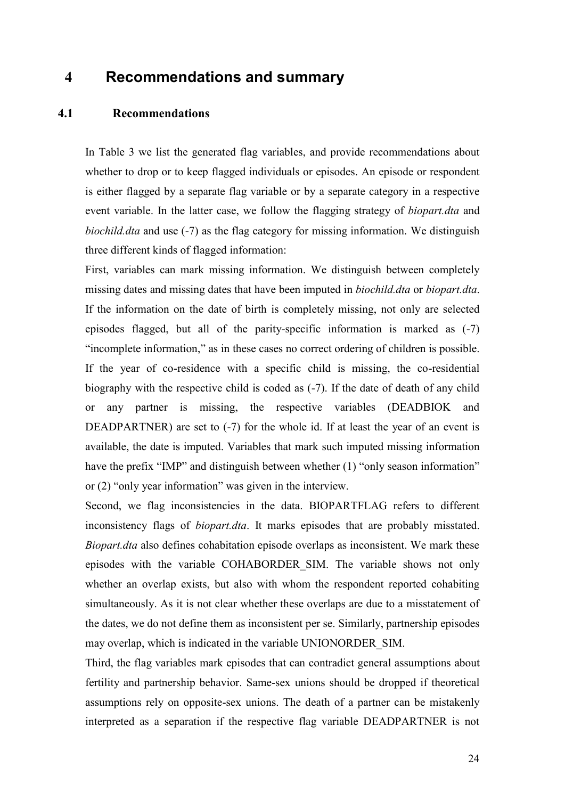## **4 Recommendations and summary**

#### **4.1 Recommendations**

In [Table 3](#page-24-0) we list the generated flag variables, and provide recommendations about whether to drop or to keep flagged individuals or episodes. An episode or respondent is either flagged by a separate flag variable or by a separate category in a respective event variable. In the latter case, we follow the flagging strategy of *biopart.dta* and *biochild.dta* and use (-7) as the flag category for missing information. We distinguish three different kinds of flagged information:

First, variables can mark missing information. We distinguish between completely missing dates and missing dates that have been imputed in *biochild.dta* or *biopart.dta*. If the information on the date of birth is completely missing, not only are selected episodes flagged, but all of the parity-specific information is marked as (-7) "incomplete information," as in these cases no correct ordering of children is possible. If the year of co-residence with a specific child is missing, the co-residential biography with the respective child is coded as (-7). If the date of death of any child or any partner is missing, the respective variables (DEADBIOK and DEADPARTNER) are set to (-7) for the whole id. If at least the year of an event is available, the date is imputed. Variables that mark such imputed missing information have the prefix "IMP" and distinguish between whether (1) "only season information" or (2) "only year information" was given in the interview.

<span id="page-24-0"></span>Second, we flag inconsistencies in the data. BIOPARTFLAG refers to different inconsistency flags of *biopart.dta*. It marks episodes that are probably misstated. *Biopart.dta* also defines cohabitation episode overlaps as inconsistent. We mark these episodes with the variable COHABORDER\_SIM. The variable shows not only whether an overlap exists, but also with whom the respondent reported cohabiting simultaneously. As it is not clear whether these overlaps are due to a misstatement of the dates, we do not define them as inconsistent per se. Similarly, partnership episodes may overlap, which is indicated in the variable UNIONORDER\_SIM.

Third, the flag variables mark episodes that can contradict general assumptions about fertility and partnership behavior. Same-sex unions should be dropped if theoretical assumptions rely on opposite-sex unions. The death of a partner can be mistakenly interpreted as a separation if the respective flag variable DEADPARTNER is not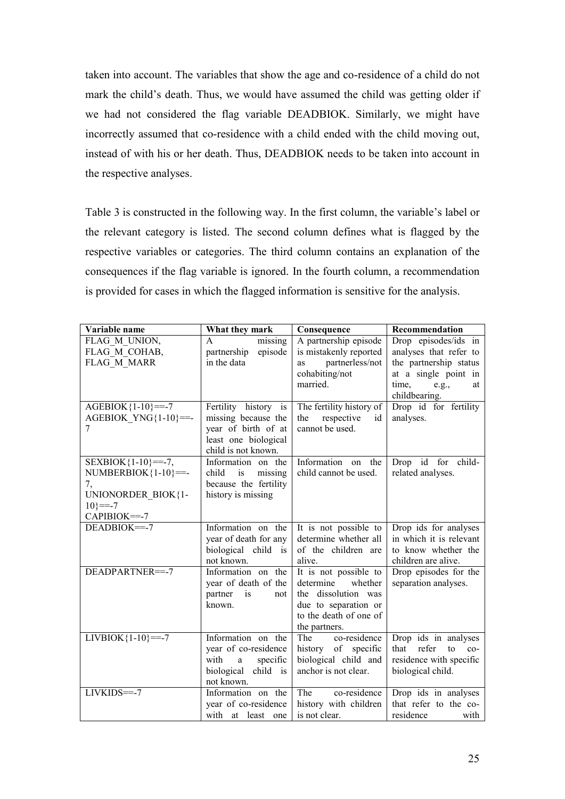<span id="page-25-0"></span>taken into account. The variables that show the age and co-residence of a child do not mark the child's death. Thus, we would have assumed the child was getting older if we had not considered the flag variable DEADBIOK. Similarly, we might have incorrectly assumed that co-residence with a child ended with the child moving out, instead of with his or her death. Thus, DEADBIOK needs to be taken into account in the respective analyses.

[Table 3](#page-24-0) is constructed in the following way. In the first column, the variable's label or the relevant category is listed. The second column defines what is flagged by the respective variables or categories. The third column contains an explanation of the consequences if the flag variable is ignored. In the fourth column, a recommendation is provided for cases in which the flagged information is sensitive for the analysis.

| Variable name                                                                                            | What they mark                                                                                                    | Consequence                                                                                                                             | Recommendation                                                                                       |
|----------------------------------------------------------------------------------------------------------|-------------------------------------------------------------------------------------------------------------------|-----------------------------------------------------------------------------------------------------------------------------------------|------------------------------------------------------------------------------------------------------|
| FLAG M UNION,<br>FLAG M COHAB,<br><b>FLAG M MARR</b>                                                     | missing<br>A<br>partnership<br>episode<br>in the data                                                             | A partnership episode<br>is mistakenly reported<br>partnerless/not<br>as                                                                | Drop episodes/ids in<br>analyses that refer to<br>the partnership status                             |
|                                                                                                          |                                                                                                                   | cohabiting/not<br>married.                                                                                                              | at a single point in<br>time,<br>e.g.,<br>at<br>childbearing.                                        |
| $AGEBIOK{1-10} == -7$<br>AGEBIOK YNG ${1-10}$ ==-<br>7                                                   | Fertility history is<br>missing because the<br>year of birth of at<br>least one biological<br>child is not known. | The fertility history of<br>respective<br>the<br>id<br>cannot be used.                                                                  | Drop id for fertility<br>analyses.                                                                   |
| $SEXBIOK{1-10} == -7,$<br>$NUMBERBIOK{1-10}==$<br>7,<br>UNIONORDER_BIOK{1-<br>$10$ }==-7<br>CAPIBIOK=--7 | Information on the<br>child<br>is<br>missing<br>because the fertility<br>history is missing                       | Information<br>the<br>on<br>child cannot be used.                                                                                       | Drop id for<br>child-<br>related analyses.                                                           |
| DEADBIOK=-7                                                                                              | Information on the<br>year of death for any<br>biological child is<br>not known.                                  | It is not possible to<br>determine whether all<br>of the children are<br>alive.                                                         | Drop ids for analyses<br>in which it is relevant<br>to know whether the<br>children are alive.       |
| DEADPARTNER=--7                                                                                          | Information on the<br>year of death of the<br>partner<br>is<br>not<br>known.                                      | It is not possible to<br>determine<br>whether<br>the dissolution was<br>due to separation or<br>to the death of one of<br>the partners. | Drop episodes for the<br>separation analyses.                                                        |
| $LIVBIOK{1-10} == -7$                                                                                    | Information on the<br>year of co-residence<br>with<br>specific<br>a<br>biological child is<br>not known.          | co-residence<br>The<br>history of specific<br>biological child and<br>anchor is not clear.                                              | Drop ids in analyses<br>that<br>refer<br>to<br>$co-$<br>residence with specific<br>biological child. |
| LIVKIDS==-7                                                                                              | Information on the<br>year of co-residence<br>with at least one                                                   | co-residence<br>The<br>history with children<br>is not clear.                                                                           | Drop ids in analyses<br>that refer to the co-<br>residence<br>with                                   |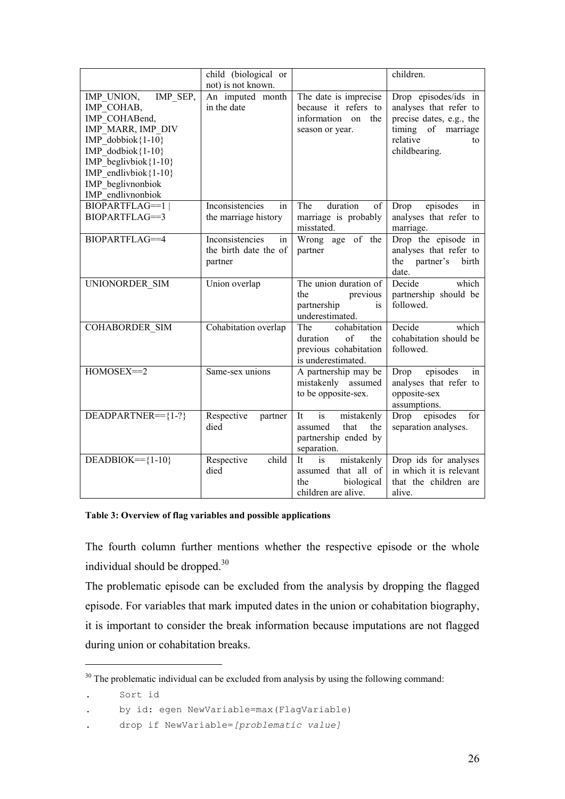<span id="page-26-0"></span>

|                                                    | child (biological or  |                                              | children.                                 |
|----------------------------------------------------|-----------------------|----------------------------------------------|-------------------------------------------|
|                                                    | not) is not known.    |                                              |                                           |
| IMP SEP,<br>IMP_UNION,                             | An imputed month      | The date is imprecise                        | Drop episodes/ids in                      |
| IMP_COHAB,                                         | in the date           | because it refers to                         | analyses that refer to                    |
| IMP COHABend,                                      |                       | information on<br>the                        | precise dates, e.g., the                  |
| IMP MARR, IMP DIV                                  |                       | season or year.                              | timing of marriage                        |
| IMP dobbiok ${1-10}$                               |                       |                                              | relative<br>to                            |
| IMP dodbiok ${1-10}$                               |                       |                                              | childbearing.                             |
| IMP beglivbiok ${1-10}$<br>IMP endlivbiok ${1-10}$ |                       |                                              |                                           |
| IMP beglivnonbiok                                  |                       |                                              |                                           |
| IMP endlivnonbiok                                  |                       |                                              |                                           |
| <b>BIOPARTFLAG==1</b>                              | Inconsistencies<br>in | duration<br>The<br>of                        | Drop<br>episodes<br>in                    |
| BIOPARTFLAG==3                                     | the marriage history  | marriage is probably                         | analyses that refer to                    |
|                                                    |                       | misstated.                                   | marriage.                                 |
| <b>BIOPARTFLAG==4</b>                              | Inconsistencies<br>in | Wrong age of the                             | Drop the episode in                       |
|                                                    | the birth date the of | partner                                      | analyses that refer to                    |
|                                                    | partner               |                                              | the partner's<br>birth                    |
|                                                    |                       |                                              | date.                                     |
| UNIONORDER SIM                                     | Union overlap         | The union duration of                        | Decide<br>which                           |
|                                                    |                       | the<br>previous                              | partnership should be                     |
|                                                    |                       | partnership<br>is                            | followed.                                 |
|                                                    |                       | underestimated.                              |                                           |
| COHABORDER SIM                                     | Cohabitation overlap  | cohabitation<br>The<br>of<br>duration<br>the | Decide<br>which<br>cohabitation should be |
|                                                    |                       |                                              | followed.                                 |
|                                                    |                       | previous cohabitation<br>is underestimated.  |                                           |
| HOMOSEX=2                                          | Same-sex unions       | A partnership may be                         | Drop<br>episodes<br>in                    |
|                                                    |                       | mistakenly assumed                           | analyses that refer to                    |
|                                                    |                       | to be opposite-sex.                          | opposite-sex                              |
|                                                    |                       |                                              | assumptions.                              |
| DEADPARTNER=={1-?}                                 | Respective<br>partner | is<br>mistakenly<br>It                       | episodes<br>Drop<br>for                   |
|                                                    | died                  | that<br>the<br>assumed                       | separation analyses.                      |
|                                                    |                       | partnership ended by                         |                                           |
|                                                    |                       | separation.                                  |                                           |
| $DEADBIOK=={1-10}$                                 | Respective<br>child   | mistakenly<br>It<br>is                       | Drop ids for analyses                     |
|                                                    | died                  | assumed that all of                          | in which it is relevant                   |
|                                                    |                       | biological<br>the                            | that the children are                     |
|                                                    |                       | children are alive.                          | alive.                                    |

#### **Table 3: Overview of flag variables and possible applications**

The fourth column further mentions whether the respective episode or the whole individual should be dropped.<sup>30</sup>

<span id="page-26-1"></span>The problematic episode can be excluded from the analysis by dropping the flagged episode. For variables that mark imputed dates in the union or cohabitation biography, it is important to consider the break information because imputations are not flagged during union or cohabitation breaks.

 $\overline{a}$ 

<sup>&</sup>lt;sup>30</sup> The problematic individual can be excluded from analysis by using the following command:

<sup>.</sup> Sort id

<sup>.</sup> by id: egen NewVariable=max(FlagVariable)

<sup>.</sup> drop if NewVariable=*[problematic value]*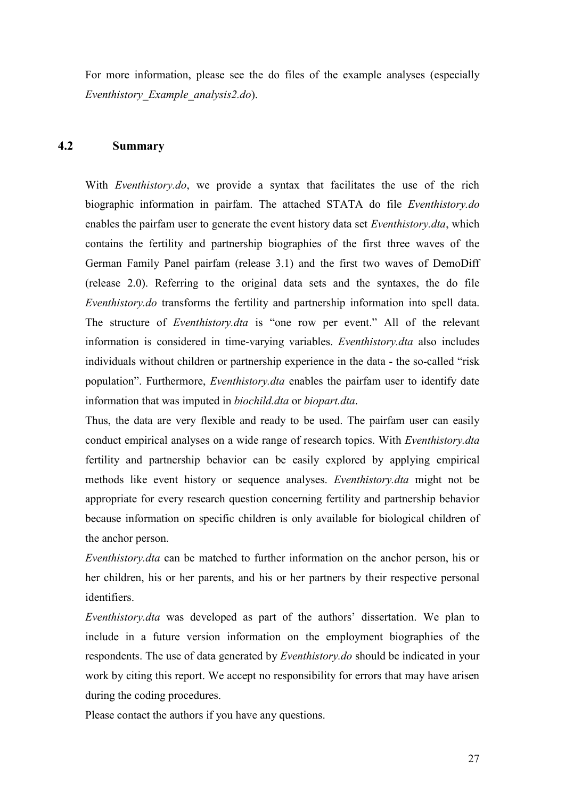For more information, please see the do files of the example analyses (especially *Eventhistory\_Example\_analysis2.do*).

#### **4.2 Summary**

With *Eventhistory.do*, we provide a syntax that facilitates the use of the rich biographic information in pairfam. The attached STATA do file *Eventhistory.do* enables the pairfam user to generate the event history data set *Eventhistory.dta*, which contains the fertility and partnership biographies of the first three waves of the German Family Panel pairfam (release 3.1) and the first two waves of DemoDiff (release 2.0). Referring to the original data sets and the syntaxes, the do file *Eventhistory.do* transforms the fertility and partnership information into spell data. The structure of *Eventhistory.dta* is "one row per event." All of the relevant information is considered in time-varying variables. *Eventhistory.dta* also includes individuals without children or partnership experience in the data - the so-called "risk population". Furthermore, *Eventhistory.dta* enables the pairfam user to identify date information that was imputed in *biochild.dta* or *biopart.dta*.

Thus, the data are very flexible and ready to be used. The pairfam user can easily conduct empirical analyses on a wide range of research topics. With *Eventhistory.dta* fertility and partnership behavior can be easily explored by applying empirical methods like event history or sequence analyses. *Eventhistory.dta* might not be appropriate for every research question concerning fertility and partnership behavior because information on specific children is only available for biological children of the anchor person.

*Eventhistory.dta* can be matched to further information on the anchor person, his or her children, his or her parents, and his or her partners by their respective personal identifiers.

*Eventhistory.dta* was developed as part of the authors' dissertation. We plan to include in a future version information on the employment biographies of the respondents. The use of data generated by *Eventhistory.do* should be indicated in your work by citing this report. We accept no responsibility for errors that may have arisen during the coding procedures.

Please contact the authors if you have any questions.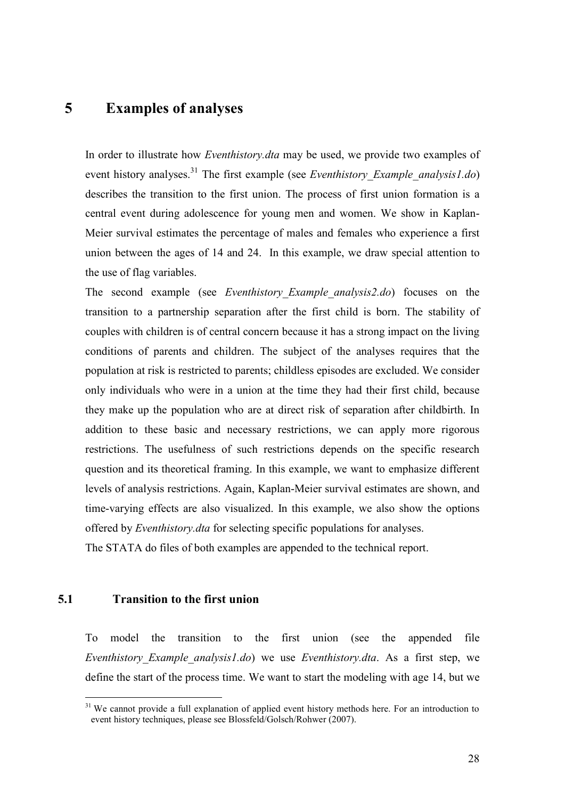## **5 Examples of analyses**

In order to illustrate how *Eventhistory.dta* may be used, we provide two examples of event history analyses.<sup>31</sup> The first example (see *Eventhistory Example analysis1.do*) describes the transition to the first union. The process of first union formation is a central event during adolescence for young men and women. We show in Kaplan-Meier survival estimates the percentage of males and females who experience a first union between the ages of 14 and 24. In this example, we draw special attention to the use of flag variables.

<span id="page-28-1"></span><span id="page-28-0"></span>The second example (see *Eventhistory\_Example\_analysis2.do*) focuses on the transition to a partnership separation after the first child is born. The stability of couples with children is of central concern because it has a strong impact on the living conditions of parents and children. The subject of the analyses requires that the population at risk is restricted to parents; childless episodes are excluded. We consider only individuals who were in a union at the time they had their first child, because they make up the population who are at direct risk of separation after childbirth. In addition to these basic and necessary restrictions, we can apply more rigorous restrictions. The usefulness of such restrictions depends on the specific research question and its theoretical framing. In this example, we want to emphasize different levels of analysis restrictions. Again, Kaplan-Meier survival estimates are shown, and time-varying effects are also visualized. In this example, we also show the options offered by *Eventhistory.dta* for selecting specific populations for analyses.

The STATA do files of both examples are appended to the technical report.

### **5.1 Transition to the first union**

 $\overline{a}$ 

To model the transition to the first union (see the appended file *Eventhistory\_Example\_analysis1.do*) we use *Eventhistory.dta*. As a first step, we define the start of the process time. We want to start the modeling with age 14, but we

<sup>&</sup>lt;sup>31</sup> We cannot provide a full explanation of applied event history methods here. For an introduction to event history techniques, please see Blossfeld/Golsch/Rohwer (2007).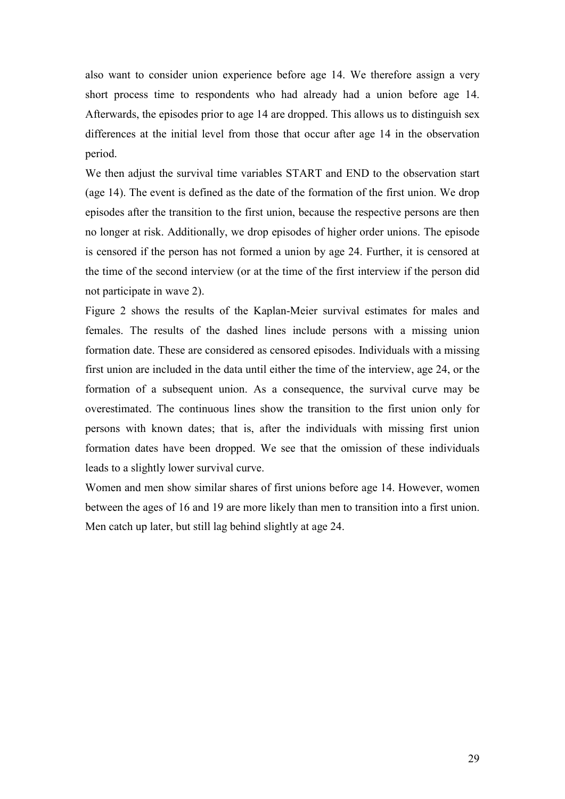also want to consider union experience before age 14. We therefore assign a very short process time to respondents who had already had a union before age 14. Afterwards, the episodes prior to age 14 are dropped. This allows us to distinguish sex differences at the initial level from those that occur after age 14 in the observation period.

We then adjust the survival time variables START and END to the observation start (age 14). The event is defined as the date of the formation of the first union. We drop episodes after the transition to the first union, because the respective persons are then no longer at risk. Additionally, we drop episodes of higher order unions. The episode is censored if the person has not formed a union by age 24. Further, it is censored at the time of the second interview (or at the time of the first interview if the person did not participate in wave 2).

[Figure 2](#page-28-1) shows the results of the Kaplan-Meier survival estimates for males and females. The results of the dashed lines include persons with a missing union formation date. These are considered as censored episodes. Individuals with a missing first union are included in the data until either the time of the interview, age 24, or the formation of a subsequent union. As a consequence, the survival curve may be overestimated. The continuous lines show the transition to the first union only for persons with known dates; that is, after the individuals with missing first union formation dates have been dropped. We see that the omission of these individuals leads to a slightly lower survival curve.

Women and men show similar shares of first unions before age 14. However, women between the ages of 16 and 19 are more likely than men to transition into a first union. Men catch up later, but still lag behind slightly at age 24.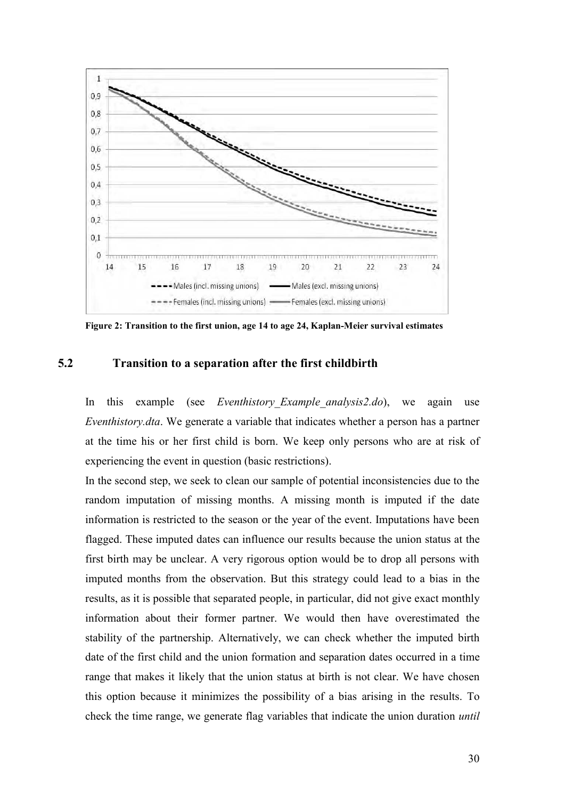

**Figure 2: Transition to the first union, age 14 to age 24, Kaplan-Meier survival estimates** 

#### **5.2 Transition to a separation after the first childbirth**

In this example (see *Eventhistory\_Example\_analysis2.do*), we again use *Eventhistory.dta*. We generate a variable that indicates whether a person has a partner at the time his or her first child is born. We keep only persons who are at risk of experiencing the event in question (basic restrictions).

In the second step, we seek to clean our sample of potential inconsistencies due to the random imputation of missing months. A missing month is imputed if the date information is restricted to the season or the year of the event. Imputations have been flagged. These imputed dates can influence our results because the union status at the first birth may be unclear. A very rigorous option would be to drop all persons with imputed months from the observation. But this strategy could lead to a bias in the results, as it is possible that separated people, in particular, did not give exact monthly information about their former partner. We would then have overestimated the stability of the partnership. Alternatively, we can check whether the imputed birth date of the first child and the union formation and separation dates occurred in a time range that makes it likely that the union status at birth is not clear. We have chosen this option because it minimizes the possibility of a bias arising in the results. To check the time range, we generate flag variables that indicate the union duration *until*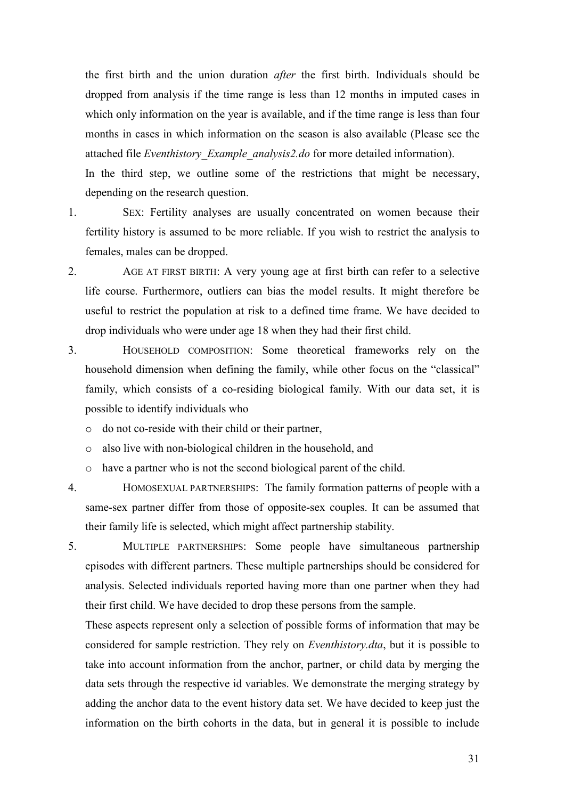the first birth and the union duration *after* the first birth. Individuals should be dropped from analysis if the time range is less than 12 months in imputed cases in which only information on the year is available, and if the time range is less than four months in cases in which information on the season is also available (Please see the attached file *Eventhistory\_Example\_analysis2.do* for more detailed information).

In the third step, we outline some of the restrictions that might be necessary, depending on the research question.

1. SEX: Fertility analyses are usually concentrated on women because their fertility history is assumed to be more reliable. If you wish to restrict the analysis to females, males can be dropped.

2. AGE AT FIRST BIRTH: A very young age at first birth can refer to a selective life course. Furthermore, outliers can bias the model results. It might therefore be useful to restrict the population at risk to a defined time frame. We have decided to drop individuals who were under age 18 when they had their first child.

<span id="page-31-0"></span>3. HOUSEHOLD COMPOSITION: Some theoretical frameworks rely on the household dimension when defining the family, while other focus on the "classical" family, which consists of a co-residing biological family. With our data set, it is possible to identify individuals who

o do not co-reside with their child or their partner,

o also live with non-biological children in the household, and

o have a partner who is not the second biological parent of the child.

4. HOMOSEXUAL PARTNERSHIPS: The family formation patterns of people with a same-sex partner differ from those of opposite-sex couples. It can be assumed that their family life is selected, which might affect partnership stability.

5. MULTIPLE PARTNERSHIPS: Some people have simultaneous partnership episodes with different partners. These multiple partnerships should be considered for analysis. Selected individuals reported having more than one partner when they had their first child. We have decided to drop these persons from the sample.

These aspects represent only a selection of possible forms of information that may be considered for sample restriction. They rely on *Eventhistory.dta*, but it is possible to take into account information from the anchor, partner, or child data by merging the data sets through the respective id variables. We demonstrate the merging strategy by adding the anchor data to the event history data set. We have decided to keep just the information on the birth cohorts in the data, but in general it is possible to include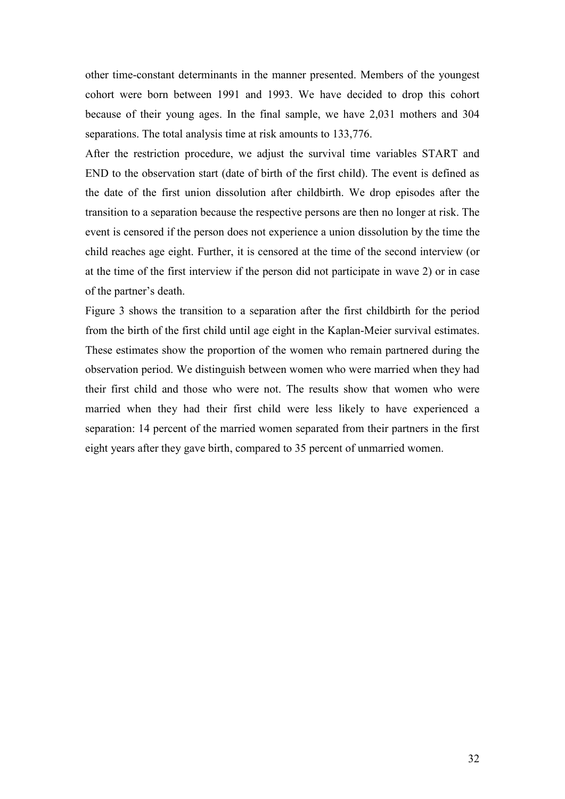other time-constant determinants in the manner presented. Members of the youngest cohort were born between 1991 and 1993. We have decided to drop this cohort because of their young ages. In the final sample, we have 2,031 mothers and 304 separations. The total analysis time at risk amounts to 133,776.

After the restriction procedure, we adjust the survival time variables START and END to the observation start (date of birth of the first child). The event is defined as the date of the first union dissolution after childbirth. We drop episodes after the transition to a separation because the respective persons are then no longer at risk. The event is censored if the person does not experience a union dissolution by the time the child reaches age eight. Further, it is censored at the time of the second interview (or at the time of the first interview if the person did not participate in wave 2) or in case of the partner's death.

<span id="page-32-2"></span><span id="page-32-1"></span><span id="page-32-0"></span>[Figure 3](#page-31-0) shows the transition to a separation after the first childbirth for the period from the birth of the first child until age eight in the Kaplan-Meier survival estimates. These estimates show the proportion of the women who remain partnered during the observation period. We distinguish between women who were married when they had their first child and those who were not. The results show that women who were married when they had their first child were less likely to have experienced a separation: 14 percent of the married women separated from their partners in the first eight years after they gave birth, compared to 35 percent of unmarried women.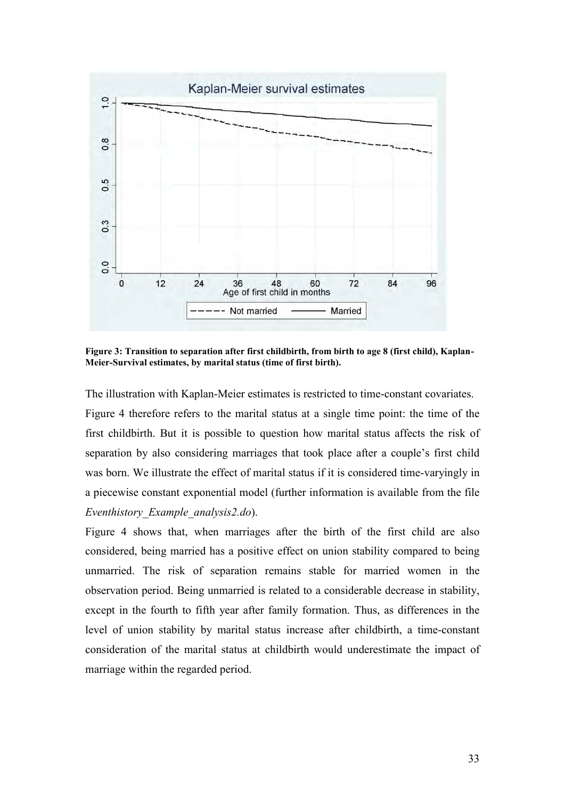

<span id="page-33-0"></span>**Figure 3: Transition to separation after first childbirth, from birth to age 8 (first child), Kaplan-Meier-Survival estimates, by marital status (time of first birth).** 

The illustration with Kaplan-Meier estimates is restricted to time-constant covariates. [Figure 4](#page-32-2) therefore refers to the marital status at a single time point: the time of the first childbirth. But it is possible to question how marital status affects the risk of separation by also considering marriages that took place after a couple's first child was born. We illustrate the effect of marital status if it is considered time-varyingly in a piecewise constant exponential model (further information is available from the file *Eventhistory\_Example\_analysis2.do*).

[Figure 4](#page-32-2) shows that, when marriages after the birth of the first child are also considered, being married has a positive effect on union stability compared to being unmarried. The risk of separation remains stable for married women in the observation period. Being unmarried is related to a considerable decrease in stability, except in the fourth to fifth year after family formation. Thus, as differences in the level of union stability by marital status increase after childbirth, a time-constant consideration of the marital status at childbirth would underestimate the impact of marriage within the regarded period.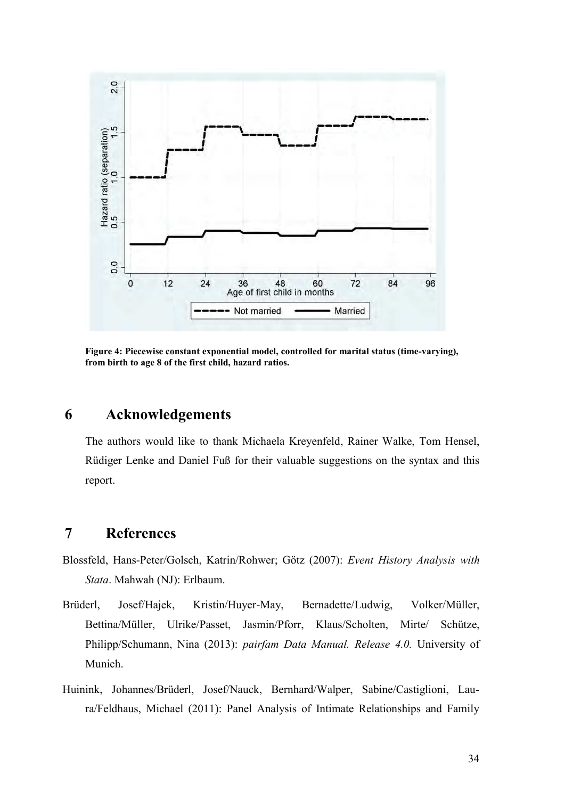

**Figure 4: Piecewise constant exponential model, controlled for marital status (time-varying), from birth to age 8 of the first child, hazard ratios.** 

## **6 Acknowledgements**

The authors would like to thank Michaela Kreyenfeld, Rainer Walke, Tom Hensel, Rüdiger Lenke and Daniel Fuß for their valuable suggestions on the syntax and this report.

## **7 References**

- Blossfeld, Hans-Peter/Golsch, Katrin/Rohwer; Götz (2007): *Event History Analysis with Stata*. Mahwah (NJ): Erlbaum.
- Brüderl, Josef/Hajek, Kristin/Huyer-May, Bernadette/Ludwig, Volker/Müller, Bettina/Müller, Ulrike/Passet, Jasmin/Pforr, Klaus/Scholten, Mirte/ Schütze, Philipp/Schumann, Nina (2013): *pairfam Data Manual. Release 4.0.* University of Munich.
- Huinink, Johannes/Brüderl, Josef/Nauck, Bernhard/Walper, Sabine/Castiglioni, Laura/Feldhaus, Michael (2011): Panel Analysis of Intimate Relationships and Family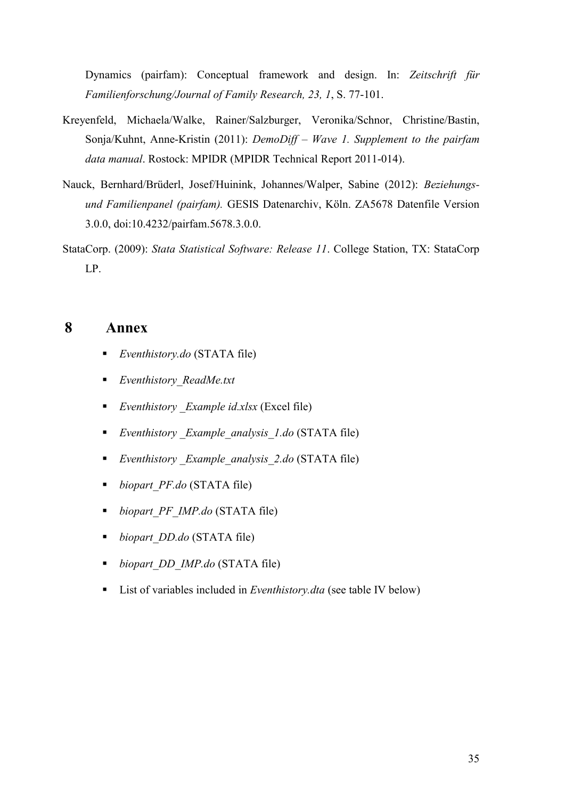Dynamics (pairfam): Conceptual framework and design. In: *Zeitschrift für Familienforschung/Journal of Family Research, 23, 1*, S. 77-101.

- Kreyenfeld, Michaela/Walke, Rainer/Salzburger, Veronika/Schnor, Christine/Bastin, Sonja/Kuhnt, Anne-Kristin (2011): *DemoDiff – Wave 1. Supplement to the pairfam data manual*. Rostock: MPIDR (MPIDR Technical Report 2011-014).
- Nauck, Bernhard/Brüderl, Josef/Huinink, Johannes/Walper, Sabine (2012): *Beziehungsund Familienpanel (pairfam).* GESIS Datenarchiv, Köln. ZA5678 Datenfile Version 3.0.0, [doi:10.4232/pairfam.5678.3.0.0.](http://dx.doi.org/10.4232/pairfam.5678.3.0.0)
- StataCorp. (2009): *Stata Statistical Software: Release 11*. College Station, TX: StataCorp LP.

### **8 Annex**

- *Eventhistory.do* (STATA file)
- *Eventhistory\_ReadMe.txt*
- *Eventhistory \_Example id.xlsx* (Excel file)
- *Eventhistory \_Example\_analysis\_1.do* (STATA file)
- *Eventhistory \_Example\_analysis\_2.do* (STATA file)
- *biopart\_PF.do* (STATA file)
- *biopart\_PF\_IMP.do* (STATA file)
- *biopart\_DD.do* (STATA file)
- *biopart\_DD\_IMP.do* (STATA file)
- List of variables included in *Eventhistory.dta* (see table IV below)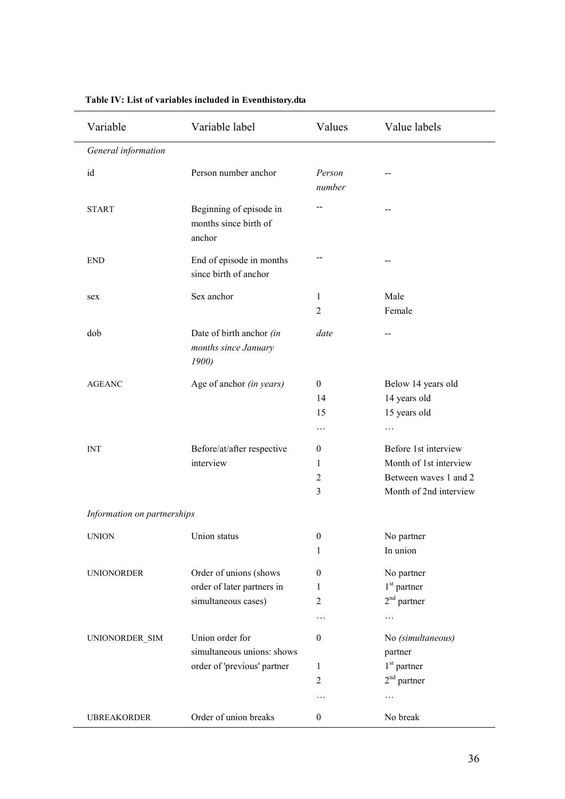| Variable                    | Variable label                                             | Values           | Value labels           |
|-----------------------------|------------------------------------------------------------|------------------|------------------------|
| General information         |                                                            |                  |                        |
| id                          | Person number anchor                                       | Person<br>number |                        |
| <b>START</b>                | Beginning of episode in<br>months since birth of<br>anchor | $-$              | $-$                    |
| <b>END</b>                  | End of episode in months<br>since birth of anchor          |                  |                        |
| sex                         | Sex anchor                                                 | $\mathbf{1}$     | Male                   |
|                             |                                                            | $\overline{2}$   | Female                 |
| dob                         | Date of birth anchor (in<br>months since January<br>1900)  | date             | $-$                    |
| <b>AGEANC</b>               | Age of anchor (in years)                                   | $\mathbf{0}$     | Below 14 years old     |
|                             |                                                            | 14               | 14 years old           |
|                             |                                                            | 15               | 15 years old           |
|                             |                                                            | $\cdots$         | $\cdots$               |
| <b>INT</b>                  | Before/at/after respective                                 | $\boldsymbol{0}$ | Before 1st interview   |
|                             | interview                                                  | 1                | Month of 1st interview |
|                             |                                                            | $\overline{c}$   | Between waves 1 and 2  |
|                             |                                                            | $\overline{3}$   | Month of 2nd interview |
| Information on partnerships |                                                            |                  |                        |
| <b>UNION</b>                | Union status                                               | $\boldsymbol{0}$ | No partner             |
|                             |                                                            | 1                | In union               |
| <b>UNIONORDER</b>           | Order of unions (shows                                     | $\theta$         | No partner             |
|                             | order of later partners in                                 | 1                | $1st$ partner          |
|                             | simultaneous cases)                                        | $\overline{2}$   | $2nd$ partner          |
|                             |                                                            | .                | .                      |
| UNIONORDER_SIM              | Union order for                                            | $\boldsymbol{0}$ | No (simultaneous)      |
|                             | simultaneous unions: shows                                 |                  | partner                |
|                             | order of 'previous' partner                                | $\mathbf{1}$     | $1st$ partner          |
|                             |                                                            | $\overline{2}$   | $2nd$ partner          |
|                             |                                                            | .                | $\cdots$               |
| <b>UBREAKORDER</b>          | Order of union breaks                                      | $\boldsymbol{0}$ | No break               |

#### **Table IV: List of variables included in Eventhistory.dta**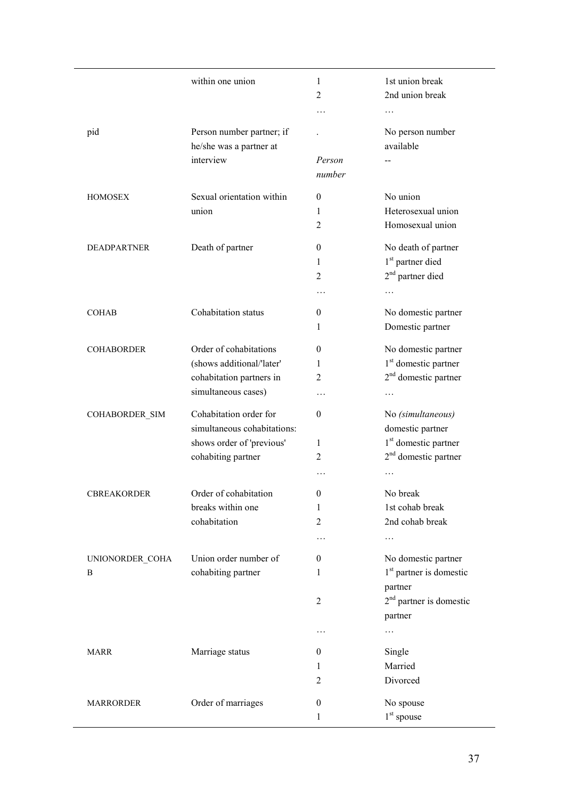|                    | within one union            | 1                | 1st union break                     |
|--------------------|-----------------------------|------------------|-------------------------------------|
|                    |                             | $\overline{2}$   | 2nd union break                     |
|                    |                             | .                | .                                   |
| pid                | Person number partner; if   |                  | No person number                    |
|                    | he/she was a partner at     |                  | available                           |
|                    | interview                   | Person           |                                     |
|                    |                             | number           |                                     |
|                    |                             |                  |                                     |
| <b>HOMOSEX</b>     | Sexual orientation within   | $\mathbf{0}$     | No union                            |
|                    | union                       | 1                | Heterosexual union                  |
|                    |                             | 2                | Homosexual union                    |
| <b>DEADPARTNER</b> | Death of partner            | $\theta$         | No death of partner                 |
|                    |                             | 1                | 1 <sup>st</sup> partner died        |
|                    |                             | 2                | $2nd$ partner died                  |
|                    |                             |                  |                                     |
| <b>COHAB</b>       | Cohabitation status         | 0                | No domestic partner                 |
|                    |                             | 1                | Domestic partner                    |
|                    |                             |                  |                                     |
| <b>COHABORDER</b>  | Order of cohabitations      | $\theta$         | No domestic partner                 |
|                    | (shows additional/'later'   | 1                | 1 <sup>st</sup> domestic partner    |
|                    | cohabitation partners in    | 2                | $2nd$ domestic partner              |
|                    | simultaneous cases)         | .                | .                                   |
| COHABORDER_SIM     | Cohabitation order for      | $\theta$         | No (simultaneous)                   |
|                    | simultaneous cohabitations: |                  | domestic partner                    |
|                    | shows order of 'previous'   | 1                | 1 <sup>st</sup> domestic partner    |
|                    | cohabiting partner          | 2                | 2 <sup>nd</sup> domestic partner    |
|                    |                             | .                |                                     |
| CBREAKORDER        | Order of cohabitation       | $\boldsymbol{0}$ | No break                            |
|                    | breaks within one           | 1                | 1st cohab break                     |
|                    | cohabitation                | $\overline{2}$   | 2nd cohab break                     |
|                    |                             | .                | .                                   |
| UNIONORDER_COHA    | Union order number of       | 0                | No domestic partner                 |
| B                  | cohabiting partner          | 1                | 1 <sup>st</sup> partner is domestic |
|                    |                             |                  | partner                             |
|                    |                             | $\overline{2}$   | $2nd$ partner is domestic           |
|                    |                             |                  | partner                             |
|                    |                             | .                | .                                   |
|                    |                             |                  |                                     |
| <b>MARR</b>        | Marriage status             | $\theta$         | Single                              |
|                    |                             | 1                | Married                             |
|                    |                             | 2                | Divorced                            |
| <b>MARRORDER</b>   | Order of marriages          | $\boldsymbol{0}$ | No spouse                           |
|                    |                             | 1                | $1st$ spouse                        |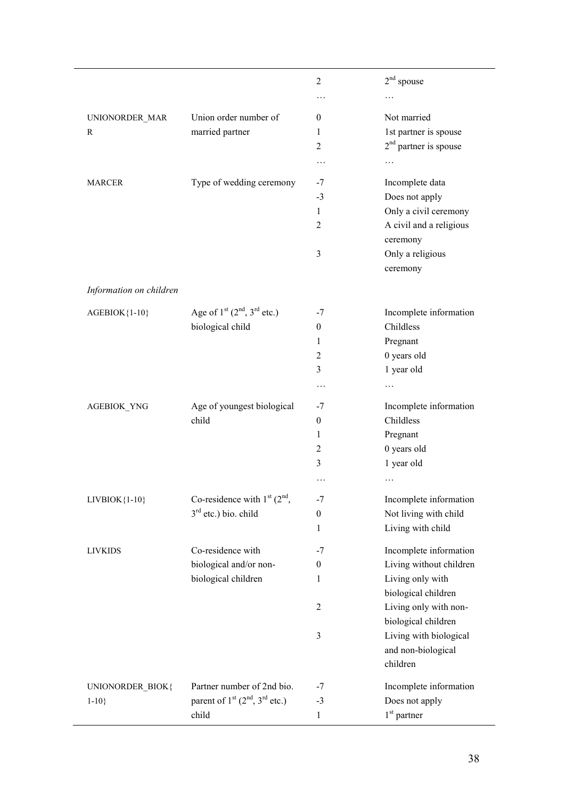|                         |                                         | $\overline{2}$   | $2nd$ spouse                        |
|-------------------------|-----------------------------------------|------------------|-------------------------------------|
|                         |                                         | $\cdots$         |                                     |
| UNIONORDER MAR          | Union order number of                   | $\theta$         | Not married                         |
| R                       | married partner                         | 1                | 1st partner is spouse               |
|                         |                                         | 2                | $2nd$ partner is spouse             |
|                         |                                         |                  |                                     |
|                         |                                         | $\cdots$         | $\cdots$                            |
| <b>MARCER</b>           | Type of wedding ceremony                | -7               | Incomplete data                     |
|                         |                                         | $-3$             | Does not apply                      |
|                         |                                         | 1                | Only a civil ceremony               |
|                         |                                         | 2                | A civil and a religious<br>ceremony |
|                         |                                         | 3                | Only a religious                    |
|                         |                                         |                  | ceremony                            |
|                         |                                         |                  |                                     |
| Information on children |                                         |                  |                                     |
| AGEBIOK{1-10}           | Age of $1^{st}$ $(2^{nd}, 3^{rd}$ etc.) | $-7$             | Incomplete information              |
|                         | biological child                        | $\boldsymbol{0}$ | Childless                           |
|                         |                                         | 1                | Pregnant                            |
|                         |                                         | 2                | 0 years old                         |
|                         |                                         | 3                | 1 year old                          |
|                         |                                         | .                |                                     |
|                         |                                         |                  |                                     |
| AGEBIOK_YNG             | Age of youngest biological              | -7               | Incomplete information<br>Childless |
|                         | child                                   | $\boldsymbol{0}$ |                                     |
|                         |                                         | 1                | Pregnant                            |
|                         |                                         | 2                | 0 years old                         |
|                         |                                         | 3                | 1 year old                          |
|                         |                                         | .                | .                                   |
| $LIVBIOK{1-10}$         | Co-residence with $1st$ ( $2nd$ ,       | $-7$             | Incomplete information              |
|                         | $3rd$ etc.) bio. child                  | $\boldsymbol{0}$ | Not living with child               |
|                         |                                         | $\mathbf{1}$     | Living with child                   |
| <b>LIVKIDS</b>          | Co-residence with                       | $-7$             | Incomplete information              |
|                         | biological and/or non-                  | $\boldsymbol{0}$ | Living without children             |
|                         | biological children                     | 1                | Living only with                    |
|                         |                                         |                  | biological children                 |
|                         |                                         | 2                | Living only with non-               |
|                         |                                         |                  | biological children                 |
|                         |                                         | 3                | Living with biological              |
|                         |                                         |                  | and non-biological                  |
|                         |                                         |                  | children                            |
| UNIONORDER_BIOK{        | Partner number of 2nd bio.              | $-7$             | Incomplete information              |
| $1 - 10$                | parent of $1st$ ( $2nd$ , $3rd$ etc.)   | $-3$             | Does not apply                      |
|                         | child                                   | $\mathbf{1}$     | $1st$ partner                       |
|                         |                                         |                  |                                     |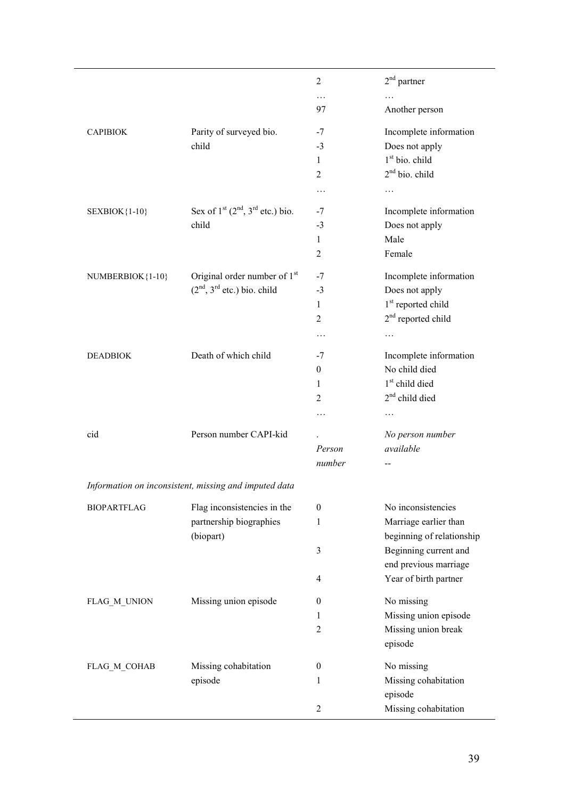| $\overline{2}$<br>$\ldots$<br>$\cdots$<br>97<br>Another person<br>Parity of surveyed bio.<br>Incomplete information<br>$-7$<br><b>CAPIBIOK</b><br>Does not apply<br>child<br>$-3$<br>$1st$ bio. child<br>$\mathbf{1}$<br>$2nd$ bio. child<br>$\overline{2}$<br>$\cdots$<br>$\ldots$<br>Sex of $1st$ ( $2nd$ , $3rd$ etc.) bio.<br>Incomplete information<br><b>SEXBIOK</b> {1-10}<br>-7<br>child<br>Does not apply<br>$-3$<br>Male<br>$\mathbf{1}$<br>Female<br>2<br>Original order number of 1 <sup>st</sup><br>Incomplete information<br>NUMBERBIOK{1-10}<br>$-7$<br>$(2nd, 3rd$ etc.) bio. child<br>Does not apply<br>$-3$<br>1 <sup>st</sup> reported child<br>1<br>$2nd$ reported child<br>$\overline{2}$<br>.<br>$\cdots$<br>Death of which child<br>Incomplete information<br><b>DEADBIOK</b><br>$-7$<br>No child died<br>$\overline{0}$<br>1 <sup>st</sup> child died<br>$\mathbf{1}$<br>$2nd$ child died<br>2<br>$\cdots$<br>$\cdots$<br>Person number CAPI-kid<br>cid<br>No person number<br>Person<br>available<br>number<br>--<br>Information on inconsistent, missing and imputed data<br>No inconsistencies<br>Flag inconsistencies in the<br>$\theta$<br><b>BIOPARTFLAG</b><br>partnership biographies<br>Marriage earlier than<br>1<br>(biopart)<br>beginning of relationship<br>Beginning current and<br>3<br>end previous marriage<br>Year of birth partner<br>4<br>Missing union episode<br>No missing<br>FLAG_M_UNION<br>0<br>Missing union episode<br>1<br>Missing union break<br>$\overline{2}$<br>episode<br>Missing cohabitation<br>No missing<br>FLAG M COHAB<br>$\boldsymbol{0}$<br>Missing cohabitation<br>episode<br>1<br>episode |  |                      |
|---------------------------------------------------------------------------------------------------------------------------------------------------------------------------------------------------------------------------------------------------------------------------------------------------------------------------------------------------------------------------------------------------------------------------------------------------------------------------------------------------------------------------------------------------------------------------------------------------------------------------------------------------------------------------------------------------------------------------------------------------------------------------------------------------------------------------------------------------------------------------------------------------------------------------------------------------------------------------------------------------------------------------------------------------------------------------------------------------------------------------------------------------------------------------------------------------------------------------------------------------------------------------------------------------------------------------------------------------------------------------------------------------------------------------------------------------------------------------------------------------------------------------------------------------------------------------------------------------------------------------------------------------------------|--|----------------------|
|                                                                                                                                                                                                                                                                                                                                                                                                                                                                                                                                                                                                                                                                                                                                                                                                                                                                                                                                                                                                                                                                                                                                                                                                                                                                                                                                                                                                                                                                                                                                                                                                                                                               |  | $2nd$ partner        |
|                                                                                                                                                                                                                                                                                                                                                                                                                                                                                                                                                                                                                                                                                                                                                                                                                                                                                                                                                                                                                                                                                                                                                                                                                                                                                                                                                                                                                                                                                                                                                                                                                                                               |  |                      |
|                                                                                                                                                                                                                                                                                                                                                                                                                                                                                                                                                                                                                                                                                                                                                                                                                                                                                                                                                                                                                                                                                                                                                                                                                                                                                                                                                                                                                                                                                                                                                                                                                                                               |  |                      |
|                                                                                                                                                                                                                                                                                                                                                                                                                                                                                                                                                                                                                                                                                                                                                                                                                                                                                                                                                                                                                                                                                                                                                                                                                                                                                                                                                                                                                                                                                                                                                                                                                                                               |  |                      |
|                                                                                                                                                                                                                                                                                                                                                                                                                                                                                                                                                                                                                                                                                                                                                                                                                                                                                                                                                                                                                                                                                                                                                                                                                                                                                                                                                                                                                                                                                                                                                                                                                                                               |  |                      |
|                                                                                                                                                                                                                                                                                                                                                                                                                                                                                                                                                                                                                                                                                                                                                                                                                                                                                                                                                                                                                                                                                                                                                                                                                                                                                                                                                                                                                                                                                                                                                                                                                                                               |  |                      |
|                                                                                                                                                                                                                                                                                                                                                                                                                                                                                                                                                                                                                                                                                                                                                                                                                                                                                                                                                                                                                                                                                                                                                                                                                                                                                                                                                                                                                                                                                                                                                                                                                                                               |  |                      |
|                                                                                                                                                                                                                                                                                                                                                                                                                                                                                                                                                                                                                                                                                                                                                                                                                                                                                                                                                                                                                                                                                                                                                                                                                                                                                                                                                                                                                                                                                                                                                                                                                                                               |  |                      |
|                                                                                                                                                                                                                                                                                                                                                                                                                                                                                                                                                                                                                                                                                                                                                                                                                                                                                                                                                                                                                                                                                                                                                                                                                                                                                                                                                                                                                                                                                                                                                                                                                                                               |  |                      |
|                                                                                                                                                                                                                                                                                                                                                                                                                                                                                                                                                                                                                                                                                                                                                                                                                                                                                                                                                                                                                                                                                                                                                                                                                                                                                                                                                                                                                                                                                                                                                                                                                                                               |  |                      |
|                                                                                                                                                                                                                                                                                                                                                                                                                                                                                                                                                                                                                                                                                                                                                                                                                                                                                                                                                                                                                                                                                                                                                                                                                                                                                                                                                                                                                                                                                                                                                                                                                                                               |  |                      |
|                                                                                                                                                                                                                                                                                                                                                                                                                                                                                                                                                                                                                                                                                                                                                                                                                                                                                                                                                                                                                                                                                                                                                                                                                                                                                                                                                                                                                                                                                                                                                                                                                                                               |  |                      |
|                                                                                                                                                                                                                                                                                                                                                                                                                                                                                                                                                                                                                                                                                                                                                                                                                                                                                                                                                                                                                                                                                                                                                                                                                                                                                                                                                                                                                                                                                                                                                                                                                                                               |  |                      |
|                                                                                                                                                                                                                                                                                                                                                                                                                                                                                                                                                                                                                                                                                                                                                                                                                                                                                                                                                                                                                                                                                                                                                                                                                                                                                                                                                                                                                                                                                                                                                                                                                                                               |  |                      |
|                                                                                                                                                                                                                                                                                                                                                                                                                                                                                                                                                                                                                                                                                                                                                                                                                                                                                                                                                                                                                                                                                                                                                                                                                                                                                                                                                                                                                                                                                                                                                                                                                                                               |  |                      |
|                                                                                                                                                                                                                                                                                                                                                                                                                                                                                                                                                                                                                                                                                                                                                                                                                                                                                                                                                                                                                                                                                                                                                                                                                                                                                                                                                                                                                                                                                                                                                                                                                                                               |  |                      |
|                                                                                                                                                                                                                                                                                                                                                                                                                                                                                                                                                                                                                                                                                                                                                                                                                                                                                                                                                                                                                                                                                                                                                                                                                                                                                                                                                                                                                                                                                                                                                                                                                                                               |  |                      |
|                                                                                                                                                                                                                                                                                                                                                                                                                                                                                                                                                                                                                                                                                                                                                                                                                                                                                                                                                                                                                                                                                                                                                                                                                                                                                                                                                                                                                                                                                                                                                                                                                                                               |  |                      |
|                                                                                                                                                                                                                                                                                                                                                                                                                                                                                                                                                                                                                                                                                                                                                                                                                                                                                                                                                                                                                                                                                                                                                                                                                                                                                                                                                                                                                                                                                                                                                                                                                                                               |  |                      |
|                                                                                                                                                                                                                                                                                                                                                                                                                                                                                                                                                                                                                                                                                                                                                                                                                                                                                                                                                                                                                                                                                                                                                                                                                                                                                                                                                                                                                                                                                                                                                                                                                                                               |  |                      |
|                                                                                                                                                                                                                                                                                                                                                                                                                                                                                                                                                                                                                                                                                                                                                                                                                                                                                                                                                                                                                                                                                                                                                                                                                                                                                                                                                                                                                                                                                                                                                                                                                                                               |  |                      |
|                                                                                                                                                                                                                                                                                                                                                                                                                                                                                                                                                                                                                                                                                                                                                                                                                                                                                                                                                                                                                                                                                                                                                                                                                                                                                                                                                                                                                                                                                                                                                                                                                                                               |  |                      |
|                                                                                                                                                                                                                                                                                                                                                                                                                                                                                                                                                                                                                                                                                                                                                                                                                                                                                                                                                                                                                                                                                                                                                                                                                                                                                                                                                                                                                                                                                                                                                                                                                                                               |  |                      |
|                                                                                                                                                                                                                                                                                                                                                                                                                                                                                                                                                                                                                                                                                                                                                                                                                                                                                                                                                                                                                                                                                                                                                                                                                                                                                                                                                                                                                                                                                                                                                                                                                                                               |  |                      |
|                                                                                                                                                                                                                                                                                                                                                                                                                                                                                                                                                                                                                                                                                                                                                                                                                                                                                                                                                                                                                                                                                                                                                                                                                                                                                                                                                                                                                                                                                                                                                                                                                                                               |  |                      |
|                                                                                                                                                                                                                                                                                                                                                                                                                                                                                                                                                                                                                                                                                                                                                                                                                                                                                                                                                                                                                                                                                                                                                                                                                                                                                                                                                                                                                                                                                                                                                                                                                                                               |  |                      |
|                                                                                                                                                                                                                                                                                                                                                                                                                                                                                                                                                                                                                                                                                                                                                                                                                                                                                                                                                                                                                                                                                                                                                                                                                                                                                                                                                                                                                                                                                                                                                                                                                                                               |  |                      |
|                                                                                                                                                                                                                                                                                                                                                                                                                                                                                                                                                                                                                                                                                                                                                                                                                                                                                                                                                                                                                                                                                                                                                                                                                                                                                                                                                                                                                                                                                                                                                                                                                                                               |  |                      |
|                                                                                                                                                                                                                                                                                                                                                                                                                                                                                                                                                                                                                                                                                                                                                                                                                                                                                                                                                                                                                                                                                                                                                                                                                                                                                                                                                                                                                                                                                                                                                                                                                                                               |  |                      |
|                                                                                                                                                                                                                                                                                                                                                                                                                                                                                                                                                                                                                                                                                                                                                                                                                                                                                                                                                                                                                                                                                                                                                                                                                                                                                                                                                                                                                                                                                                                                                                                                                                                               |  |                      |
|                                                                                                                                                                                                                                                                                                                                                                                                                                                                                                                                                                                                                                                                                                                                                                                                                                                                                                                                                                                                                                                                                                                                                                                                                                                                                                                                                                                                                                                                                                                                                                                                                                                               |  |                      |
|                                                                                                                                                                                                                                                                                                                                                                                                                                                                                                                                                                                                                                                                                                                                                                                                                                                                                                                                                                                                                                                                                                                                                                                                                                                                                                                                                                                                                                                                                                                                                                                                                                                               |  |                      |
|                                                                                                                                                                                                                                                                                                                                                                                                                                                                                                                                                                                                                                                                                                                                                                                                                                                                                                                                                                                                                                                                                                                                                                                                                                                                                                                                                                                                                                                                                                                                                                                                                                                               |  |                      |
|                                                                                                                                                                                                                                                                                                                                                                                                                                                                                                                                                                                                                                                                                                                                                                                                                                                                                                                                                                                                                                                                                                                                                                                                                                                                                                                                                                                                                                                                                                                                                                                                                                                               |  |                      |
|                                                                                                                                                                                                                                                                                                                                                                                                                                                                                                                                                                                                                                                                                                                                                                                                                                                                                                                                                                                                                                                                                                                                                                                                                                                                                                                                                                                                                                                                                                                                                                                                                                                               |  |                      |
|                                                                                                                                                                                                                                                                                                                                                                                                                                                                                                                                                                                                                                                                                                                                                                                                                                                                                                                                                                                                                                                                                                                                                                                                                                                                                                                                                                                                                                                                                                                                                                                                                                                               |  |                      |
|                                                                                                                                                                                                                                                                                                                                                                                                                                                                                                                                                                                                                                                                                                                                                                                                                                                                                                                                                                                                                                                                                                                                                                                                                                                                                                                                                                                                                                                                                                                                                                                                                                                               |  |                      |
|                                                                                                                                                                                                                                                                                                                                                                                                                                                                                                                                                                                                                                                                                                                                                                                                                                                                                                                                                                                                                                                                                                                                                                                                                                                                                                                                                                                                                                                                                                                                                                                                                                                               |  |                      |
|                                                                                                                                                                                                                                                                                                                                                                                                                                                                                                                                                                                                                                                                                                                                                                                                                                                                                                                                                                                                                                                                                                                                                                                                                                                                                                                                                                                                                                                                                                                                                                                                                                                               |  |                      |
|                                                                                                                                                                                                                                                                                                                                                                                                                                                                                                                                                                                                                                                                                                                                                                                                                                                                                                                                                                                                                                                                                                                                                                                                                                                                                                                                                                                                                                                                                                                                                                                                                                                               |  |                      |
| $\overline{2}$                                                                                                                                                                                                                                                                                                                                                                                                                                                                                                                                                                                                                                                                                                                                                                                                                                                                                                                                                                                                                                                                                                                                                                                                                                                                                                                                                                                                                                                                                                                                                                                                                                                |  | Missing cohabitation |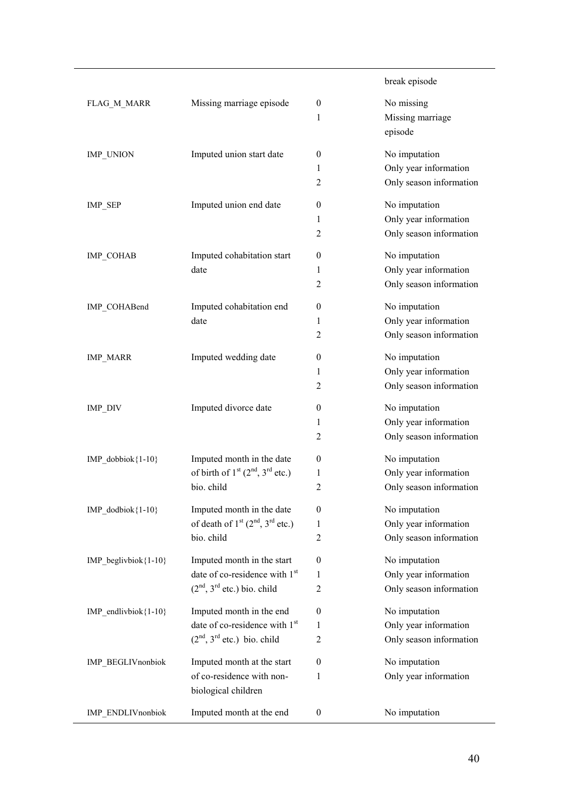#### break episode FLAG\_M\_MARR Missing marriage episode 0 1 No missing Missing marriage episode IMP\_UNION Imputed union start date 0 1 2 No imputation Only year information Only season information IMP\_SEP Imputed union end date 0 1 2 No imputation Only year information Only season information IMP\_COHAB Imputed cohabitation start date 0 1 2 No imputation Only year information Only season information IMP\_COHABend Imputed cohabitation end date 0 1 2 No imputation Only year information Only season information IMP\_MARR Imputed wedding date 0 1 2 No imputation Only year information Only season information IMP\_DIV Imputed divorce date 0 1 2 No imputation Only year information Only season information IMP\_dobbiok{1-10} Imputed month in the date of birth of  $1<sup>st</sup>$  ( $2<sup>nd</sup>$ ,  $3<sup>rd</sup>$  etc.) bio. child 0 1 2 No imputation Only year information Only season information IMP\_dodbiok{1-10} Imputed month in the date of death of  $1<sup>st</sup>$  ( $2<sup>nd</sup>$ ,  $3<sup>rd</sup>$  etc.) bio. child 0 1 2 No imputation Only year information Only season information IMP beglivbiok ${1-10}$  Imputed month in the start date of co-residence with 1<sup>st</sup>  $(2<sup>nd</sup>, 3<sup>rd</sup>$  etc.) bio. child  $\theta$ 1 2 No imputation Only year information Only season information IMP\_endlivbiok ${1-10}$  Imputed month in the end date of co-residence with 1<sup>st</sup>  $(2<sup>nd</sup>, 3<sup>rd</sup>$  etc.) bio. child  $\theta$ 1 2 No imputation Only year information Only season information IMP\_BEGLIVnonbiok Imputed month at the start of co-residence with nonbiological children 0 1 No imputation Only year information IMP\_ENDLIVnonbiok Imputed month at the end 0 No imputation